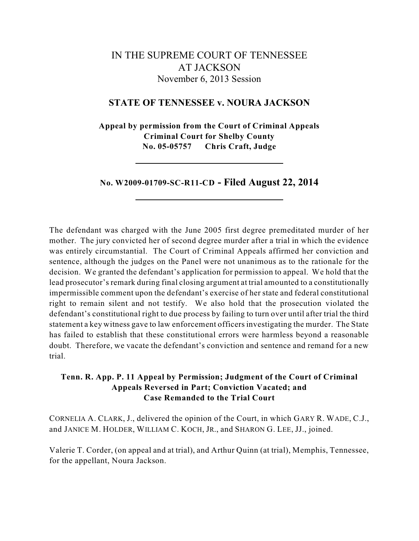# IN THE SUPREME COURT OF TENNESSEE AT JACKSON November 6, 2013 Session

# **STATE OF TENNESSEE v. NOURA JACKSON**

**Appeal by permission from the Court of Criminal Appeals Criminal Court for Shelby County No. 05-05757 Chris Craft, Judge**

**No. W2009-01709-SC-R11-CD - Filed August 22, 2014**

The defendant was charged with the June 2005 first degree premeditated murder of her mother. The jury convicted her of second degree murder after a trial in which the evidence was entirely circumstantial. The Court of Criminal Appeals affirmed her conviction and sentence, although the judges on the Panel were not unanimous as to the rationale for the decision. We granted the defendant's application for permission to appeal. We hold that the lead prosecutor's remark during final closing argument at trial amounted to a constitutionally impermissible comment upon the defendant's exercise of her state and federal constitutional right to remain silent and not testify. We also hold that the prosecution violated the defendant's constitutional right to due process by failing to turn over until after trial the third statement a key witness gave to law enforcement officers investigating the murder. The State has failed to establish that these constitutional errors were harmless beyond a reasonable doubt. Therefore, we vacate the defendant's conviction and sentence and remand for a new trial.

# **Tenn. R. App. P. 11 Appeal by Permission; Judgment of the Court of Criminal Appeals Reversed in Part; Conviction Vacated; and Case Remanded to the Trial Court**

CORNELIA A. CLARK, J., delivered the opinion of the Court, in which GARY R. WADE, C.J., and JANICE M. HOLDER, WILLIAM C. KOCH, JR., and SHARON G. LEE, JJ., joined.

Valerie T. Corder, (on appeal and at trial), and Arthur Quinn (at trial), Memphis, Tennessee, for the appellant, Noura Jackson.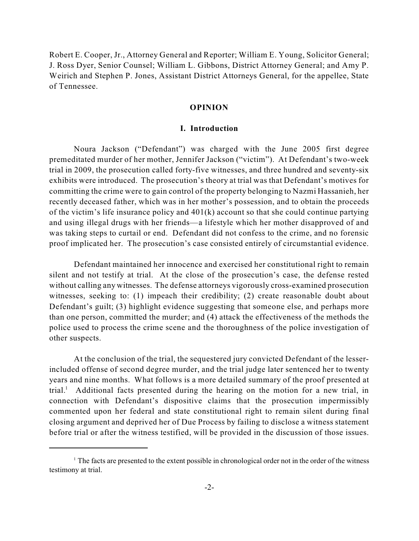Robert E. Cooper, Jr., Attorney General and Reporter; William E. Young, Solicitor General; J. Ross Dyer, Senior Counsel; William L. Gibbons, District Attorney General; and Amy P. Weirich and Stephen P. Jones, Assistant District Attorneys General, for the appellee, State of Tennessee.

#### **OPINION**

#### **I. Introduction**

Noura Jackson ("Defendant") was charged with the June 2005 first degree premeditated murder of her mother, Jennifer Jackson ("victim"). At Defendant's two-week trial in 2009, the prosecution called forty-five witnesses, and three hundred and seventy-six exhibits were introduced. The prosecution's theory at trial was that Defendant's motives for committing the crime were to gain control of the property belonging to Nazmi Hassanieh, her recently deceased father, which was in her mother's possession, and to obtain the proceeds of the victim's life insurance policy and 401(k) account so that she could continue partying and using illegal drugs with her friends—a lifestyle which her mother disapproved of and was taking steps to curtail or end. Defendant did not confess to the crime, and no forensic proof implicated her. The prosecution's case consisted entirely of circumstantial evidence.

Defendant maintained her innocence and exercised her constitutional right to remain silent and not testify at trial. At the close of the prosecution's case, the defense rested without calling any witnesses. The defense attorneys vigorously cross-examined prosecution witnesses, seeking to: (1) impeach their credibility; (2) create reasonable doubt about Defendant's guilt; (3) highlight evidence suggesting that someone else, and perhaps more than one person, committed the murder; and (4) attack the effectiveness of the methods the police used to process the crime scene and the thoroughness of the police investigation of other suspects.

At the conclusion of the trial, the sequestered jury convicted Defendant of the lesserincluded offense of second degree murder, and the trial judge later sentenced her to twenty years and nine months. What follows is a more detailed summary of the proof presented at trial.<sup>1</sup> Additional facts presented during the hearing on the motion for a new trial, in connection with Defendant's dispositive claims that the prosecution impermissibly commented upon her federal and state constitutional right to remain silent during final closing argument and deprived her of Due Process by failing to disclose a witness statement before trial or after the witness testified, will be provided in the discussion of those issues.

 $1$ <sup>1</sup> The facts are presented to the extent possible in chronological order not in the order of the witness testimony at trial.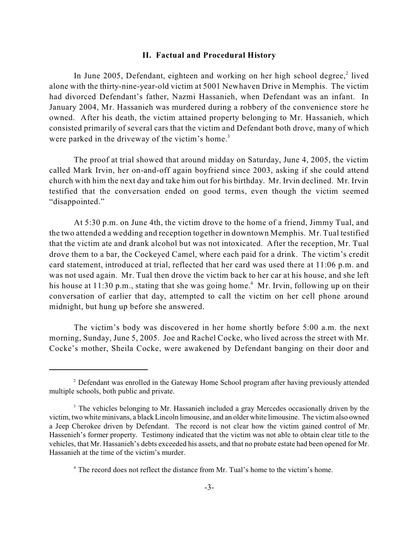#### **II. Factual and Procedural History**

In June 2005, Defendant, eighteen and working on her high school degree, $2$  lived alone with the thirty-nine-year-old victim at 5001 Newhaven Drive in Memphis. The victim had divorced Defendant's father, Nazmi Hassanieh, when Defendant was an infant. In January 2004, Mr. Hassanieh was murdered during a robbery of the convenience store he owned. After his death, the victim attained property belonging to Mr. Hassanieh, which consisted primarily of several cars that the victim and Defendant both drove, many of which were parked in the driveway of the victim's home.<sup>3</sup>

The proof at trial showed that around midday on Saturday, June 4, 2005, the victim called Mark Irvin, her on-and-off again boyfriend since 2003, asking if she could attend church with him the next day and take him out for his birthday. Mr. Irvin declined. Mr. Irvin testified that the conversation ended on good terms, even though the victim seemed "disappointed."

At 5:30 p.m. on June 4th, the victim drove to the home of a friend, Jimmy Tual, and the two attended a wedding and reception together in downtown Memphis. Mr. Tual testified that the victim ate and drank alcohol but was not intoxicated. After the reception, Mr. Tual drove them to a bar, the Cockeyed Camel, where each paid for a drink. The victim's credit card statement, introduced at trial, reflected that her card was used there at 11:06 p.m. and was not used again. Mr. Tual then drove the victim back to her car at his house, and she left his house at 11:30 p.m., stating that she was going home.<sup>4</sup> Mr. Irvin, following up on their conversation of earlier that day, attempted to call the victim on her cell phone around midnight, but hung up before she answered.

The victim's body was discovered in her home shortly before 5:00 a.m. the next morning, Sunday, June 5, 2005. Joe and Rachel Cocke, who lived across the street with Mr. Cocke's mother, Sheila Cocke, were awakened by Defendant banging on their door and

 $2$  Defendant was enrolled in the Gateway Home School program after having previously attended multiple schools, both public and private.

<sup>&</sup>lt;sup>3</sup> The vehicles belonging to Mr. Hassanieh included a gray Mercedes occasionally driven by the victim, two white minivans, a black Lincoln limousine, and an older white limousine. The victimalso owned a Jeep Cherokee driven by Defendant. The record is not clear how the victim gained control of Mr. Hassenieh's former property. Testimony indicated that the victim was not able to obtain clear title to the vehicles, that Mr. Hassanieh's debts exceeded his assets, and that no probate estate had been opened for Mr. Hassanieh at the time of the victim's murder.

<sup>&</sup>lt;sup>4</sup> The record does not reflect the distance from Mr. Tual's home to the victim's home.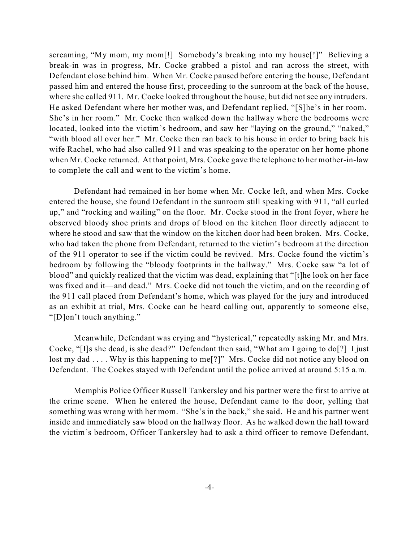screaming, "My mom, my mom[!] Somebody's breaking into my house[!]" Believing a break-in was in progress, Mr. Cocke grabbed a pistol and ran across the street, with Defendant close behind him. When Mr. Cocke paused before entering the house, Defendant passed him and entered the house first, proceeding to the sunroom at the back of the house, where she called 911. Mr. Cocke looked throughout the house, but did not see any intruders. He asked Defendant where her mother was, and Defendant replied, "[S]he's in her room. She's in her room." Mr. Cocke then walked down the hallway where the bedrooms were located, looked into the victim's bedroom, and saw her "laying on the ground," "naked," "with blood all over her." Mr. Cocke then ran back to his house in order to bring back his wife Rachel, who had also called 911 and was speaking to the operator on her home phone when Mr. Cocke returned. At that point, Mrs. Cocke gave the telephone to her mother-in-law to complete the call and went to the victim's home.

Defendant had remained in her home when Mr. Cocke left, and when Mrs. Cocke entered the house, she found Defendant in the sunroom still speaking with 911, "all curled up," and "rocking and wailing" on the floor. Mr. Cocke stood in the front foyer, where he observed bloody shoe prints and drops of blood on the kitchen floor directly adjacent to where he stood and saw that the window on the kitchen door had been broken. Mrs. Cocke, who had taken the phone from Defendant, returned to the victim's bedroom at the direction of the 911 operator to see if the victim could be revived. Mrs. Cocke found the victim's bedroom by following the "bloody footprints in the hallway." Mrs. Cocke saw "a lot of blood" and quickly realized that the victim was dead, explaining that "[t]he look on her face was fixed and it—and dead." Mrs. Cocke did not touch the victim, and on the recording of the 911 call placed from Defendant's home, which was played for the jury and introduced as an exhibit at trial, Mrs. Cocke can be heard calling out, apparently to someone else, "[D]on't touch anything."

Meanwhile, Defendant was crying and "hysterical," repeatedly asking Mr. and Mrs. Cocke, "[I]s she dead, is she dead?" Defendant then said, "What am I going to do[?] I just lost my dad . . . . Why is this happening to me<sup>[?]"</sup> Mrs. Cocke did not notice any blood on Defendant. The Cockes stayed with Defendant until the police arrived at around 5:15 a.m.

Memphis Police Officer Russell Tankersley and his partner were the first to arrive at the crime scene. When he entered the house, Defendant came to the door, yelling that something was wrong with her mom. "She's in the back," she said. He and his partner went inside and immediately saw blood on the hallway floor. As he walked down the hall toward the victim's bedroom, Officer Tankersley had to ask a third officer to remove Defendant,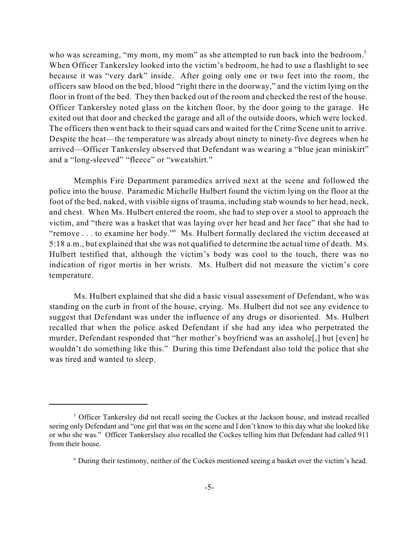who was screaming, "my mom, my mom" as she attempted to run back into the bedroom.<sup>5</sup> When Officer Tankersley looked into the victim's bedroom, he had to use a flashlight to see because it was "very dark" inside. After going only one or two feet into the room, the officers saw blood on the bed, blood "right there in the doorway," and the victim lying on the floor in front of the bed. They then backed out of the room and checked the rest of the house. Officer Tankersley noted glass on the kitchen floor, by the door going to the garage. He exited out that door and checked the garage and all of the outside doors, which were locked. The officers then went back to their squad cars and waited for the Crime Scene unit to arrive. Despite the heat—the temperature was already about ninety to ninety-five degrees when he arrived—Officer Tankersley observed that Defendant was wearing a "blue jean miniskirt" and a "long-sleeved" "fleece" or "sweatshirt."

Memphis Fire Department paramedics arrived next at the scene and followed the police into the house. Paramedic Michelle Hulbert found the victim lying on the floor at the foot of the bed, naked, with visible signs of trauma, including stab wounds to her head, neck, and chest. When Ms. Hulbert entered the room, she had to step over a stool to approach the victim, and "there was a basket that was laying over her head and her face" that she had to "remove ... to examine her body." Ms. Hulbert formally declared the victim deceased at 5:18 a.m., but explained that she was not qualified to determine the actual time of death. Ms. Hulbert testified that, although the victim's body was cool to the touch, there was no indication of rigor mortis in her wrists. Ms. Hulbert did not measure the victim's core temperature.

Ms. Hulbert explained that she did a basic visual assessment of Defendant, who was standing on the curb in front of the house, crying. Ms. Hulbert did not see any evidence to suggest that Defendant was under the influence of any drugs or disoriented. Ms. Hulbert recalled that when the police asked Defendant if she had any idea who perpetrated the murder, Defendant responded that "her mother's boyfriend was an asshole[,] but [even] he wouldn't do something like this." During this time Defendant also told the police that she was tired and wanted to sleep.

<sup>&</sup>lt;sup>5</sup> Officer Tankersley did not recall seeing the Cockes at the Jackson house, and instead recalled seeing only Defendant and "one girl that was on the scene and I don't know to this day what she looked like or who she was." Officer Tankerslsey also recalled the Cockes telling him that Defendant had called 911 from their house.

<sup>&</sup>lt;sup>6</sup> During their testimony, neither of the Cockes mentioned seeing a basket over the victim's head.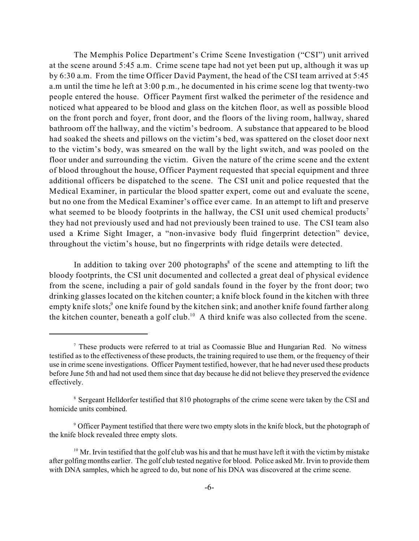The Memphis Police Department's Crime Scene Investigation ("CSI") unit arrived at the scene around 5:45 a.m. Crime scene tape had not yet been put up, although it was up by 6:30 a.m. From the time Officer David Payment, the head of the CSI team arrived at 5:45 a.m until the time he left at 3:00 p.m., he documented in his crime scene log that twenty-two people entered the house. Officer Payment first walked the perimeter of the residence and noticed what appeared to be blood and glass on the kitchen floor, as well as possible blood on the front porch and foyer, front door, and the floors of the living room, hallway, shared bathroom off the hallway, and the victim's bedroom. A substance that appeared to be blood had soaked the sheets and pillows on the victim's bed, was spattered on the closet door next to the victim's body, was smeared on the wall by the light switch, and was pooled on the floor under and surrounding the victim. Given the nature of the crime scene and the extent of blood throughout the house, Officer Payment requested that special equipment and three additional officers be dispatched to the scene. The CSI unit and police requested that the Medical Examiner, in particular the blood spatter expert, come out and evaluate the scene, but no one from the Medical Examiner's office ever came. In an attempt to lift and preserve what seemed to be bloody footprints in the hallway, the CSI unit used chemical products<sup>7</sup> they had not previously used and had not previously been trained to use. The CSI team also used a Krime Sight Imager, a "non-invasive body fluid fingerprint detection" device, throughout the victim's house, but no fingerprints with ridge details were detected.

In addition to taking over 200 photographs $\delta$  of the scene and attempting to lift the bloody footprints, the CSI unit documented and collected a great deal of physical evidence from the scene, including a pair of gold sandals found in the foyer by the front door; two drinking glasses located on the kitchen counter; a knife block found in the kitchen with three empty knife slots;<sup>9</sup> one knife found by the kitchen sink; and another knife found farther along the kitchen counter, beneath a golf club.<sup>10</sup> A third knife was also collected from the scene.

 $\alpha$ <sup>7</sup> These products were referred to at trial as Coomassie Blue and Hungarian Red. No witness testified as to the effectiveness of these products, the training required to use them, or the frequency of their use in crime scene investigations. Officer Payment testified, however, that he had never used these products before June 5th and had not used them since that day because he did not believe they preserved the evidence effectively.

<sup>&</sup>lt;sup>8</sup> Sergeant Helldorfer testified that 810 photographs of the crime scene were taken by the CSI and homicide units combined.

<sup>&</sup>lt;sup>9</sup> Officer Payment testified that there were two empty slots in the knife block, but the photograph of the knife block revealed three empty slots.

 $10$  Mr. Irvin testified that the golf club was his and that he must have left it with the victim by mistake after golfing months earlier. The golf club tested negative for blood. Police asked Mr. Irvin to provide them with DNA samples, which he agreed to do, but none of his DNA was discovered at the crime scene.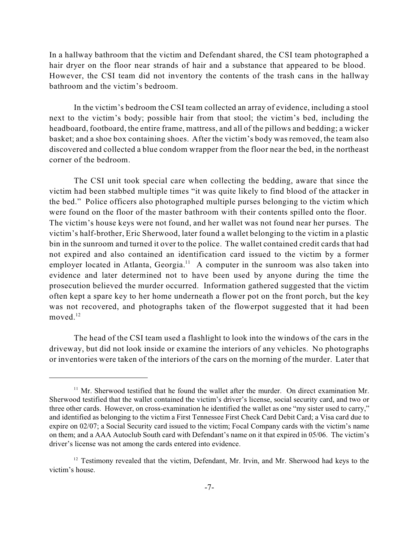In a hallway bathroom that the victim and Defendant shared, the CSI team photographed a hair dryer on the floor near strands of hair and a substance that appeared to be blood. However, the CSI team did not inventory the contents of the trash cans in the hallway bathroom and the victim's bedroom.

In the victim's bedroom the CSI team collected an array of evidence, including a stool next to the victim's body; possible hair from that stool; the victim's bed, including the headboard, footboard, the entire frame, mattress, and all of the pillows and bedding; a wicker basket; and a shoe box containing shoes. After the victim's body was removed, the team also discovered and collected a blue condom wrapper from the floor near the bed, in the northeast corner of the bedroom.

The CSI unit took special care when collecting the bedding, aware that since the victim had been stabbed multiple times "it was quite likely to find blood of the attacker in the bed." Police officers also photographed multiple purses belonging to the victim which were found on the floor of the master bathroom with their contents spilled onto the floor. The victim's house keys were not found, and her wallet was not found near her purses. The victim's half-brother, Eric Sherwood, later found a wallet belonging to the victim in a plastic bin in the sunroom and turned it over to the police. The wallet contained credit cards that had not expired and also contained an identification card issued to the victim by a former employer located in Atlanta, Georgia. $11$  A computer in the sunroom was also taken into evidence and later determined not to have been used by anyone during the time the prosecution believed the murder occurred. Information gathered suggested that the victim often kept a spare key to her home underneath a flower pot on the front porch, but the key was not recovered, and photographs taken of the flowerpot suggested that it had been moved. 12

The head of the CSI team used a flashlight to look into the windows of the cars in the driveway, but did not look inside or examine the interiors of any vehicles. No photographs or inventories were taken of the interiors of the cars on the morning of the murder. Later that

 $11$  Mr. Sherwood testified that he found the wallet after the murder. On direct examination Mr. Sherwood testified that the wallet contained the victim's driver's license, social security card, and two or three other cards. However, on cross-examination he identified the wallet as one "my sister used to carry," and identified as belonging to the victim a First Tennessee First Check Card Debit Card; a Visa card due to expire on 02/07; a Social Security card issued to the victim; Focal Company cards with the victim's name on them; and a AAA Autoclub South card with Defendant's name on it that expired in 05/06. The victim's driver's license was not among the cards entered into evidence.

 $12$  Testimony revealed that the victim, Defendant, Mr. Irvin, and Mr. Sherwood had keys to the victim's house.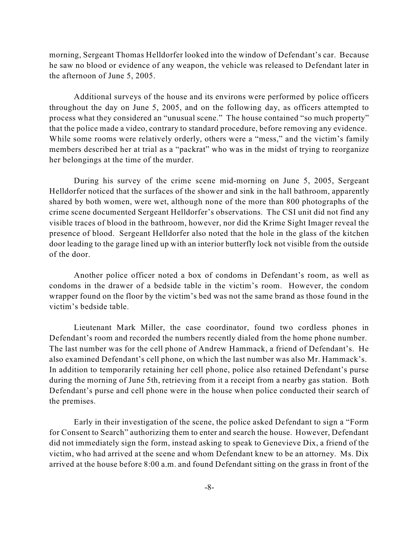morning, Sergeant Thomas Helldorfer looked into the window of Defendant's car. Because he saw no blood or evidence of any weapon, the vehicle was released to Defendant later in the afternoon of June 5, 2005.

Additional surveys of the house and its environs were performed by police officers throughout the day on June 5, 2005, and on the following day, as officers attempted to process what they considered an "unusual scene." The house contained "so much property" that the police made a video, contrary to standard procedure, before removing any evidence. While some rooms were relatively orderly, others were a "mess," and the victim's family members described her at trial as a "packrat" who was in the midst of trying to reorganize her belongings at the time of the murder.

During his survey of the crime scene mid-morning on June 5, 2005, Sergeant Helldorfer noticed that the surfaces of the shower and sink in the hall bathroom, apparently shared by both women, were wet, although none of the more than 800 photographs of the crime scene documented Sergeant Helldorfer's observations. The CSI unit did not find any visible traces of blood in the bathroom, however, nor did the Krime Sight Imager reveal the presence of blood. Sergeant Helldorfer also noted that the hole in the glass of the kitchen door leading to the garage lined up with an interior butterfly lock not visible from the outside of the door.

Another police officer noted a box of condoms in Defendant's room, as well as condoms in the drawer of a bedside table in the victim's room. However, the condom wrapper found on the floor by the victim's bed was not the same brand as those found in the victim's bedside table.

Lieutenant Mark Miller, the case coordinator, found two cordless phones in Defendant's room and recorded the numbers recently dialed from the home phone number. The last number was for the cell phone of Andrew Hammack, a friend of Defendant's. He also examined Defendant's cell phone, on which the last number was also Mr. Hammack's. In addition to temporarily retaining her cell phone, police also retained Defendant's purse during the morning of June 5th, retrieving from it a receipt from a nearby gas station. Both Defendant's purse and cell phone were in the house when police conducted their search of the premises.

Early in their investigation of the scene, the police asked Defendant to sign a "Form for Consent to Search" authorizing them to enter and search the house. However, Defendant did not immediately sign the form, instead asking to speak to Genevieve Dix, a friend of the victim, who had arrived at the scene and whom Defendant knew to be an attorney. Ms. Dix arrived at the house before 8:00 a.m. and found Defendant sitting on the grass in front of the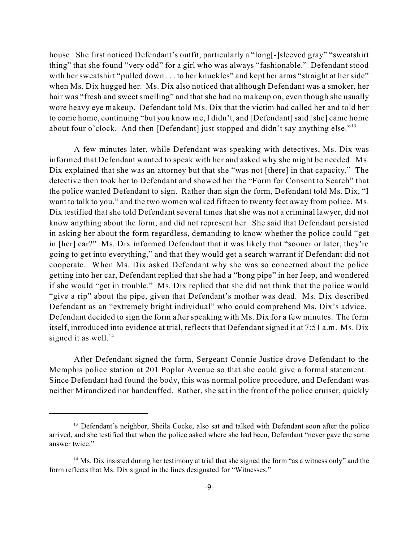house. She first noticed Defendant's outfit, particularly a "long[-]sleeved gray" "sweatshirt thing" that she found "very odd" for a girl who was always "fashionable." Defendant stood with her sweatshirt "pulled down ... to her knuckles" and kept her arms "straight at her side" when Ms. Dix hugged her. Ms. Dix also noticed that although Defendant was a smoker, her hair was "fresh and sweet smelling" and that she had no makeup on, even though she usually wore heavy eye makeup. Defendant told Ms. Dix that the victim had called her and told her to come home, continuing "but you know me, I didn't, and [Defendant] said [she] came home about four o'clock. And then [Defendant] just stopped and didn't say anything else."<sup>13</sup>

A few minutes later, while Defendant was speaking with detectives, Ms. Dix was informed that Defendant wanted to speak with her and asked why she might be needed. Ms. Dix explained that she was an attorney but that she "was not [there] in that capacity." The detective then took her to Defendant and showed her the "Form for Consent to Search" that the police wanted Defendant to sign. Rather than sign the form, Defendant told Ms. Dix, "I want to talk to you," and the two women walked fifteen to twenty feet away from police. Ms. Dix testified that she told Defendant several times that she was not a criminal lawyer, did not know anything about the form, and did not represent her. She said that Defendant persisted in asking her about the form regardless, demanding to know whether the police could "get in [her] car?" Ms. Dix informed Defendant that it was likely that "sooner or later, they're going to get into everything," and that they would get a search warrant if Defendant did not cooperate. When Ms. Dix asked Defendant why she was so concerned about the police getting into her car, Defendant replied that she had a "bong pipe" in her Jeep, and wondered if she would "get in trouble." Ms. Dix replied that she did not think that the police would "give a rip" about the pipe, given that Defendant's mother was dead. Ms. Dix described Defendant as an "extremely bright individual" who could comprehend Ms. Dix's advice. Defendant decided to sign the form after speaking with Ms. Dix for a few minutes. The form itself, introduced into evidence at trial, reflects that Defendant signed it at 7:51 a.m. Ms. Dix signed it as well.<sup>14</sup>

After Defendant signed the form, Sergeant Connie Justice drove Defendant to the Memphis police station at 201 Poplar Avenue so that she could give a formal statement. Since Defendant had found the body, this was normal police procedure, and Defendant was neither Mirandized nor handcuffed. Rather, she sat in the front of the police cruiser, quickly

<sup>&</sup>lt;sup>13</sup> Defendant's neighbor, Sheila Cocke, also sat and talked with Defendant soon after the police arrived, and she testified that when the police asked where she had been, Defendant "never gave the same answer twice."

 $14$  Ms. Dix insisted during her testimony at trial that she signed the form "as a witness only" and the form reflects that Ms. Dix signed in the lines designated for "Witnesses."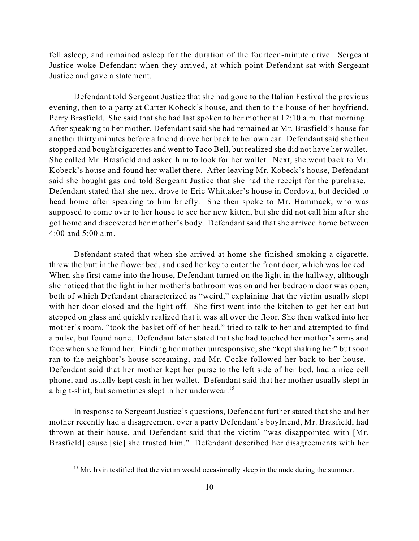fell asleep, and remained asleep for the duration of the fourteen-minute drive. Sergeant Justice woke Defendant when they arrived, at which point Defendant sat with Sergeant Justice and gave a statement.

Defendant told Sergeant Justice that she had gone to the Italian Festival the previous evening, then to a party at Carter Kobeck's house, and then to the house of her boyfriend, Perry Brasfield. She said that she had last spoken to her mother at 12:10 a.m. that morning. After speaking to her mother, Defendant said she had remained at Mr. Brasfield's house for another thirty minutes before a friend drove her back to her own car. Defendant said she then stopped and bought cigarettes and went to Taco Bell, but realized she did not have her wallet. She called Mr. Brasfield and asked him to look for her wallet. Next, she went back to Mr. Kobeck's house and found her wallet there. After leaving Mr. Kobeck's house, Defendant said she bought gas and told Sergeant Justice that she had the receipt for the purchase. Defendant stated that she next drove to Eric Whittaker's house in Cordova, but decided to head home after speaking to him briefly. She then spoke to Mr. Hammack, who was supposed to come over to her house to see her new kitten, but she did not call him after she got home and discovered her mother's body. Defendant said that she arrived home between 4:00 and 5:00 a.m.

Defendant stated that when she arrived at home she finished smoking a cigarette, threw the butt in the flower bed, and used her key to enter the front door, which was locked. When she first came into the house, Defendant turned on the light in the hallway, although she noticed that the light in her mother's bathroom was on and her bedroom door was open, both of which Defendant characterized as "weird," explaining that the victim usually slept with her door closed and the light off. She first went into the kitchen to get her cat but stepped on glass and quickly realized that it was all over the floor. She then walked into her mother's room, "took the basket off of her head," tried to talk to her and attempted to find a pulse, but found none. Defendant later stated that she had touched her mother's arms and face when she found her. Finding her mother unresponsive, she "kept shaking her" but soon ran to the neighbor's house screaming, and Mr. Cocke followed her back to her house. Defendant said that her mother kept her purse to the left side of her bed, had a nice cell phone, and usually kept cash in her wallet. Defendant said that her mother usually slept in a big t-shirt, but sometimes slept in her underwear.<sup>15</sup>

In response to Sergeant Justice's questions, Defendant further stated that she and her mother recently had a disagreement over a party Defendant's boyfriend, Mr. Brasfield, had thrown at their house, and Defendant said that the victim "was disappointed with [Mr. Brasfield] cause [sic] she trusted him." Defendant described her disagreements with her

 $15$  Mr. Irvin testified that the victim would occasionally sleep in the nude during the summer.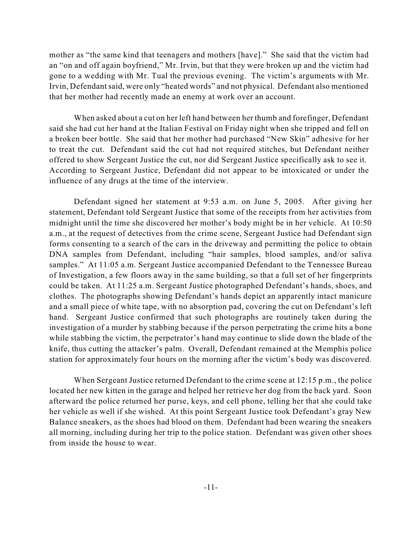mother as "the same kind that teenagers and mothers [have]." She said that the victim had an "on and off again boyfriend," Mr. Irvin, but that they were broken up and the victim had gone to a wedding with Mr. Tual the previous evening. The victim's arguments with Mr. Irvin, Defendantsaid, were only "heated words" and not physical. Defendant also mentioned that her mother had recently made an enemy at work over an account.

When asked about a cut on her left hand between her thumb and forefinger, Defendant said she had cut her hand at the Italian Festival on Friday night when she tripped and fell on a broken beer bottle. She said that her mother had purchased "New Skin" adhesive for her to treat the cut. Defendant said the cut had not required stitches, but Defendant neither offered to show Sergeant Justice the cut, nor did Sergeant Justice specifically ask to see it. According to Sergeant Justice, Defendant did not appear to be intoxicated or under the influence of any drugs at the time of the interview.

Defendant signed her statement at 9:53 a.m. on June 5, 2005. After giving her statement, Defendant told Sergeant Justice that some of the receipts from her activities from midnight until the time she discovered her mother's body might be in her vehicle. At 10:50 a.m., at the request of detectives from the crime scene, Sergeant Justice had Defendant sign forms consenting to a search of the cars in the driveway and permitting the police to obtain DNA samples from Defendant, including "hair samples, blood samples, and/or saliva samples." At 11:05 a.m. Sergeant Justice accompanied Defendant to the Tennessee Bureau of Investigation, a few floors away in the same building, so that a full set of her fingerprints could be taken. At 11:25 a.m. Sergeant Justice photographed Defendant's hands, shoes, and clothes. The photographs showing Defendant's hands depict an apparently intact manicure and a small piece of white tape, with no absorption pad, covering the cut on Defendant's left hand. Sergeant Justice confirmed that such photographs are routinely taken during the investigation of a murder by stabbing because if the person perpetrating the crime hits a bone while stabbing the victim, the perpetrator's hand may continue to slide down the blade of the knife, thus cutting the attacker's palm. Overall, Defendant remained at the Memphis police station for approximately four hours on the morning after the victim's body was discovered.

When Sergeant Justice returned Defendant to the crime scene at 12:15 p.m., the police located her new kitten in the garage and helped her retrieve her dog from the back yard. Soon afterward the police returned her purse, keys, and cell phone, telling her that she could take her vehicle as well if she wished. At this point Sergeant Justice took Defendant's gray New Balance sneakers, as the shoes had blood on them. Defendant had been wearing the sneakers all morning, including during her trip to the police station. Defendant was given other shoes from inside the house to wear.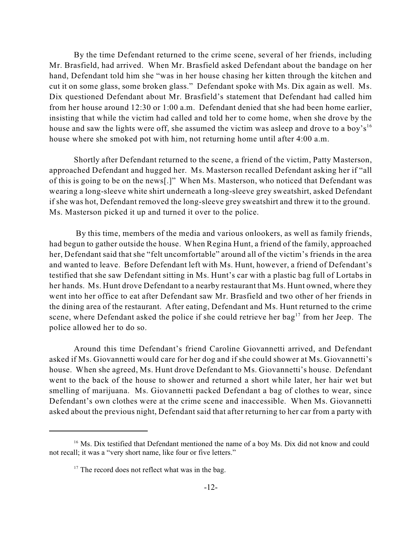By the time Defendant returned to the crime scene, several of her friends, including Mr. Brasfield, had arrived. When Mr. Brasfield asked Defendant about the bandage on her hand, Defendant told him she "was in her house chasing her kitten through the kitchen and cut it on some glass, some broken glass." Defendant spoke with Ms. Dix again as well. Ms. Dix questioned Defendant about Mr. Brasfield's statement that Defendant had called him from her house around 12:30 or 1:00 a.m. Defendant denied that she had been home earlier, insisting that while the victim had called and told her to come home, when she drove by the house and saw the lights were off, she assumed the victim was asleep and drove to a boy's<sup>16</sup> house where she smoked pot with him, not returning home until after 4:00 a.m.

Shortly after Defendant returned to the scene, a friend of the victim, Patty Masterson, approached Defendant and hugged her. Ms. Masterson recalled Defendant asking her if "all of this is going to be on the news[.]" When Ms. Masterson, who noticed that Defendant was wearing a long-sleeve white shirt underneath a long-sleeve grey sweatshirt, asked Defendant if she was hot, Defendant removed the long-sleeve grey sweatshirt and threw it to the ground. Ms. Masterson picked it up and turned it over to the police.

By this time, members of the media and various onlookers, as well as family friends, had begun to gather outside the house. When Regina Hunt, a friend of the family, approached her, Defendant said that she "felt uncomfortable" around all of the victim's friends in the area and wanted to leave. Before Defendant left with Ms. Hunt, however, a friend of Defendant's testified that she saw Defendant sitting in Ms. Hunt's car with a plastic bag full of Lortabs in her hands. Ms. Hunt drove Defendant to a nearby restaurant that Ms. Hunt owned, where they went into her office to eat after Defendant saw Mr. Brasfield and two other of her friends in the dining area of the restaurant. After eating, Defendant and Ms. Hunt returned to the crime scene, where Defendant asked the police if she could retrieve her bag<sup>17</sup> from her Jeep. The police allowed her to do so.

Around this time Defendant's friend Caroline Giovannetti arrived, and Defendant asked if Ms. Giovannetti would care for her dog and if she could shower at Ms. Giovannetti's house. When she agreed, Ms. Hunt drove Defendant to Ms. Giovannetti's house. Defendant went to the back of the house to shower and returned a short while later, her hair wet but smelling of marijuana. Ms. Giovannetti packed Defendant a bag of clothes to wear, since Defendant's own clothes were at the crime scene and inaccessible. When Ms. Giovannetti asked about the previous night, Defendant said that after returning to her car from a party with

 $16$  Ms. Dix testified that Defendant mentioned the name of a boy Ms. Dix did not know and could not recall; it was a "very short name, like four or five letters."

 $17$  The record does not reflect what was in the bag.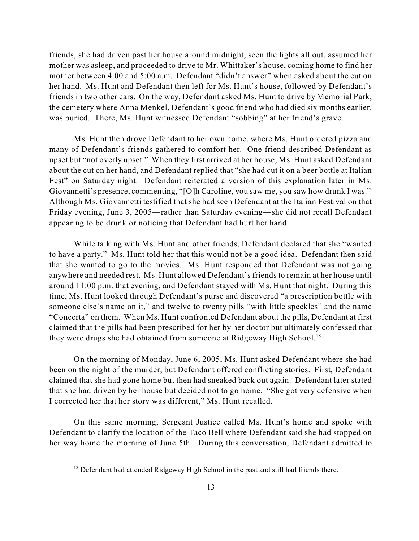friends, she had driven past her house around midnight, seen the lights all out, assumed her mother was asleep, and proceeded to drive to Mr. Whittaker's house, coming home to find her mother between 4:00 and 5:00 a.m. Defendant "didn't answer" when asked about the cut on her hand. Ms. Hunt and Defendant then left for Ms. Hunt's house, followed by Defendant's friends in two other cars. On the way, Defendant asked Ms. Hunt to drive by Memorial Park, the cemetery where Anna Menkel, Defendant's good friend who had died six months earlier, was buried. There, Ms. Hunt witnessed Defendant "sobbing" at her friend's grave.

Ms. Hunt then drove Defendant to her own home, where Ms. Hunt ordered pizza and many of Defendant's friends gathered to comfort her. One friend described Defendant as upset but "not overly upset." When they first arrived at her house, Ms. Hunt asked Defendant about the cut on her hand, and Defendant replied that "she had cut it on a beer bottle at Italian Fest" on Saturday night. Defendant reiterated a version of this explanation later in Ms. Giovannetti's presence, commenting, "[O]h Caroline, you saw me, you saw how drunk I was." Although Ms. Giovannetti testified that she had seen Defendant at the Italian Festival on that Friday evening, June 3, 2005—rather than Saturday evening—she did not recall Defendant appearing to be drunk or noticing that Defendant had hurt her hand.

While talking with Ms. Hunt and other friends, Defendant declared that she "wanted to have a party." Ms. Hunt told her that this would not be a good idea. Defendant then said that she wanted to go to the movies. Ms. Hunt responded that Defendant was not going anywhere and needed rest. Ms. Hunt allowed Defendant's friends to remain at her house until around 11:00 p.m. that evening, and Defendant stayed with Ms. Hunt that night. During this time, Ms. Hunt looked through Defendant's purse and discovered "a prescription bottle with someone else's name on it," and twelve to twenty pills "with little speckles" and the name "Concerta" on them. When Ms. Hunt confronted Defendant about the pills, Defendant at first claimed that the pills had been prescribed for her by her doctor but ultimately confessed that they were drugs she had obtained from someone at Ridgeway High School.<sup>18</sup>

On the morning of Monday, June 6, 2005, Ms. Hunt asked Defendant where she had been on the night of the murder, but Defendant offered conflicting stories. First, Defendant claimed that she had gone home but then had sneaked back out again. Defendant later stated that she had driven by her house but decided not to go home. "She got very defensive when I corrected her that her story was different," Ms. Hunt recalled.

On this same morning, Sergeant Justice called Ms. Hunt's home and spoke with Defendant to clarify the location of the Taco Bell where Defendant said she had stopped on her way home the morning of June 5th. During this conversation, Defendant admitted to

 $18$  Defendant had attended Ridgeway High School in the past and still had friends there.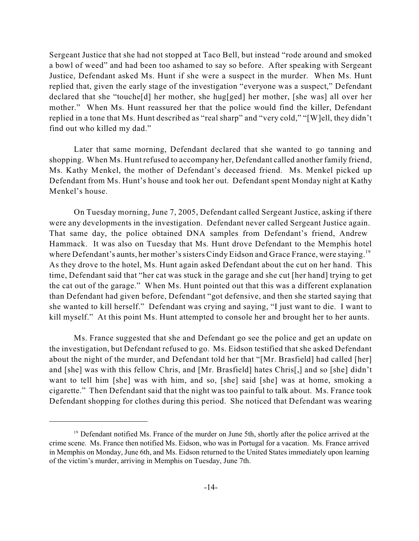Sergeant Justice that she had not stopped at Taco Bell, but instead "rode around and smoked a bowl of weed" and had been too ashamed to say so before. After speaking with Sergeant Justice, Defendant asked Ms. Hunt if she were a suspect in the murder. When Ms. Hunt replied that, given the early stage of the investigation "everyone was a suspect," Defendant declared that she "touche[d] her mother, she hug[ged] her mother, [she was] all over her mother." When Ms. Hunt reassured her that the police would find the killer, Defendant replied in a tone that Ms. Hunt described as "real sharp" and "very cold," "[W]ell, they didn't find out who killed my dad."

Later that same morning, Defendant declared that she wanted to go tanning and shopping. When Ms. Hunt refused to accompany her, Defendant called another family friend, Ms. Kathy Menkel, the mother of Defendant's deceased friend. Ms. Menkel picked up Defendant from Ms. Hunt's house and took her out. Defendant spent Monday night at Kathy Menkel's house.

On Tuesday morning, June 7, 2005, Defendant called Sergeant Justice, asking if there were any developments in the investigation. Defendant never called Sergeant Justice again. That same day, the police obtained DNA samples from Defendant's friend, Andrew Hammack. It was also on Tuesday that Ms. Hunt drove Defendant to the Memphis hotel where Defendant's aunts, her mother's sisters Cindy Eidson and Grace France, were staying.<sup>19</sup> As they drove to the hotel, Ms. Hunt again asked Defendant about the cut on her hand. This time, Defendant said that "her cat was stuck in the garage and she cut [her hand] trying to get the cat out of the garage." When Ms. Hunt pointed out that this was a different explanation than Defendant had given before, Defendant "got defensive, and then she started saying that she wanted to kill herself." Defendant was crying and saying, "I just want to die. I want to kill myself." At this point Ms. Hunt attempted to console her and brought her to her aunts.

Ms. France suggested that she and Defendant go see the police and get an update on the investigation, but Defendant refused to go. Ms. Eidson testified that she asked Defendant about the night of the murder, and Defendant told her that "[Mr. Brasfield] had called [her] and [she] was with this fellow Chris, and [Mr. Brasfield] hates Chris[,] and so [she] didn't want to tell him [she] was with him, and so, [she] said [she] was at home, smoking a cigarette." Then Defendant said that the night was too painful to talk about. Ms. France took Defendant shopping for clothes during this period. She noticed that Defendant was wearing

 $19$  Defendant notified Ms. France of the murder on June 5th, shortly after the police arrived at the crime scene. Ms. France then notified Ms. Eidson, who was in Portugal for a vacation. Ms. France arrived in Memphis on Monday, June 6th, and Ms. Eidson returned to the United States immediately upon learning of the victim's murder, arriving in Memphis on Tuesday, June 7th.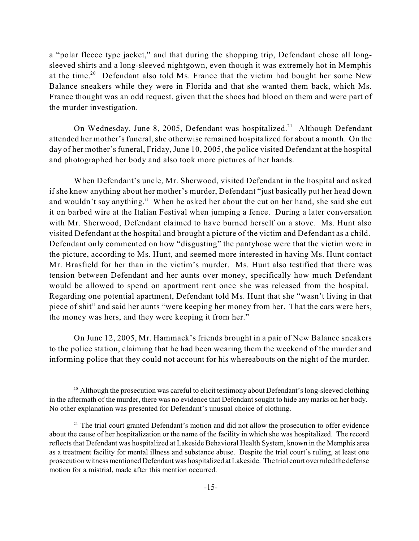a "polar fleece type jacket," and that during the shopping trip, Defendant chose all longsleeved shirts and a long-sleeved nightgown, even though it was extremely hot in Memphis at the time.<sup>20</sup> Defendant also told Ms. France that the victim had bought her some New Balance sneakers while they were in Florida and that she wanted them back, which Ms. France thought was an odd request, given that the shoes had blood on them and were part of the murder investigation.

On Wednesday, June 8, 2005, Defendant was hospitalized.<sup>21</sup> Although Defendant attended her mother's funeral, she otherwise remained hospitalized for about a month. On the day of her mother's funeral, Friday, June 10, 2005, the police visited Defendant at the hospital and photographed her body and also took more pictures of her hands.

When Defendant's uncle, Mr. Sherwood, visited Defendant in the hospital and asked if she knew anything about her mother's murder, Defendant "just basically put her head down and wouldn't say anything." When he asked her about the cut on her hand, she said she cut it on barbed wire at the Italian Festival when jumping a fence. During a later conversation with Mr. Sherwood, Defendant claimed to have burned herself on a stove. Ms. Hunt also visited Defendant at the hospital and brought a picture of the victim and Defendant as a child. Defendant only commented on how "disgusting" the pantyhose were that the victim wore in the picture, according to Ms. Hunt, and seemed more interested in having Ms. Hunt contact Mr. Brasfield for her than in the victim's murder. Ms. Hunt also testified that there was tension between Defendant and her aunts over money, specifically how much Defendant would be allowed to spend on apartment rent once she was released from the hospital. Regarding one potential apartment, Defendant told Ms. Hunt that she "wasn't living in that piece of shit" and said her aunts "were keeping her money from her. That the cars were hers, the money was hers, and they were keeping it from her."

On June 12, 2005, Mr. Hammack's friends brought in a pair of New Balance sneakers to the police station, claiming that he had been wearing them the weekend of the murder and informing police that they could not account for his whereabouts on the night of the murder.

<sup>&</sup>lt;sup>20</sup> Although the prosecution was careful to elicit testimony about Defendant's long-sleeved clothing in the aftermath of the murder, there was no evidence that Defendant sought to hide any marks on her body. No other explanation was presented for Defendant's unusual choice of clothing.

 $21$  The trial court granted Defendant's motion and did not allow the prosecution to offer evidence about the cause of her hospitalization or the name of the facility in which she was hospitalized. The record reflects that Defendant was hospitalized at Lakeside Behavioral Health System, known in the Memphis area as a treatment facility for mental illness and substance abuse. Despite the trial court's ruling, at least one prosecution witness mentioned Defendant was hospitalized atLakeside. The trial court overruled the defense motion for a mistrial, made after this mention occurred.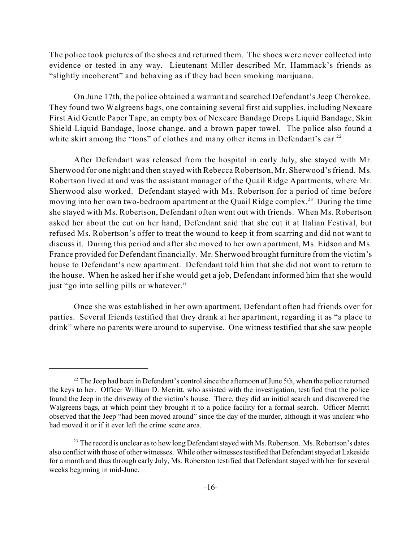The police took pictures of the shoes and returned them. The shoes were never collected into evidence or tested in any way. Lieutenant Miller described Mr. Hammack's friends as "slightly incoherent" and behaving as if they had been smoking marijuana.

On June 17th, the police obtained a warrant and searched Defendant's Jeep Cherokee. They found two Walgreens bags, one containing several first aid supplies, including Nexcare First Aid Gentle Paper Tape, an empty box of Nexcare Bandage Drops Liquid Bandage, Skin Shield Liquid Bandage, loose change, and a brown paper towel. The police also found a white skirt among the "tons" of clothes and many other items in Defendant's car.<sup>22</sup>

After Defendant was released from the hospital in early July, she stayed with Mr. Sherwood for one night and then stayed with Rebecca Robertson, Mr. Sherwood's friend. Ms. Robertson lived at and was the assistant manager of the Quail Ridge Apartments, where Mr. Sherwood also worked. Defendant stayed with Ms. Robertson for a period of time before moving into her own two-bedroom apartment at the Quail Ridge complex.<sup>23</sup> During the time she stayed with Ms. Robertson, Defendant often went out with friends. When Ms. Robertson asked her about the cut on her hand, Defendant said that she cut it at Italian Festival, but refused Ms. Robertson's offer to treat the wound to keep it from scarring and did not want to discuss it. During this period and after she moved to her own apartment, Ms. Eidson and Ms. France provided for Defendant financially. Mr. Sherwood brought furniture from the victim's house to Defendant's new apartment. Defendant told him that she did not want to return to the house. When he asked her if she would get a job, Defendant informed him that she would just "go into selling pills or whatever."

Once she was established in her own apartment, Defendant often had friends over for parties. Several friends testified that they drank at her apartment, regarding it as "a place to drink" where no parents were around to supervise. One witness testified that she saw people

 $22$  The Jeep had been in Defendant's control since the afternoon of June 5th, when the police returned the keys to her. Officer William D. Merritt, who assisted with the investigation, testified that the police found the Jeep in the driveway of the victim's house. There, they did an initial search and discovered the Walgreens bags, at which point they brought it to a police facility for a formal search. Officer Merritt observed that the Jeep "had been moved around" since the day of the murder, although it was unclear who had moved it or if it ever left the crime scene area.

 $23$  The record is unclear as to how long Defendant stayed with Ms. Robertson. Ms. Robertson's dates also conflict with those of other witnesses. While other witnesses testified that Defendant stayed at Lakeside for a month and thus through early July, Ms. Roberston testified that Defendant stayed with her for several weeks beginning in mid-June.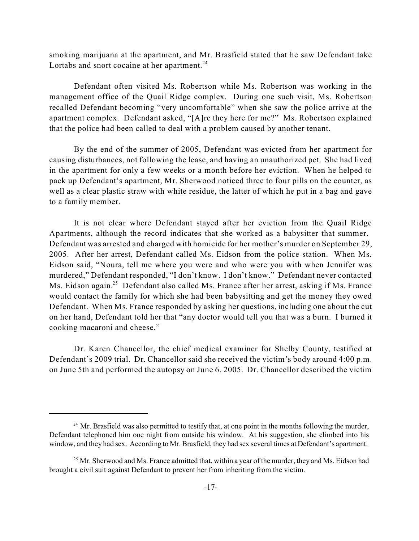smoking marijuana at the apartment, and Mr. Brasfield stated that he saw Defendant take Lortabs and snort cocaine at her apartment.<sup>24</sup>

Defendant often visited Ms. Robertson while Ms. Robertson was working in the management office of the Quail Ridge complex. During one such visit, Ms. Robertson recalled Defendant becoming "very uncomfortable" when she saw the police arrive at the apartment complex. Defendant asked, "[A]re they here for me?" Ms. Robertson explained that the police had been called to deal with a problem caused by another tenant.

By the end of the summer of 2005, Defendant was evicted from her apartment for causing disturbances, not following the lease, and having an unauthorized pet. She had lived in the apartment for only a few weeks or a month before her eviction. When he helped to pack up Defendant's apartment, Mr. Sherwood noticed three to four pills on the counter, as well as a clear plastic straw with white residue, the latter of which he put in a bag and gave to a family member.

It is not clear where Defendant stayed after her eviction from the Quail Ridge Apartments, although the record indicates that she worked as a babysitter that summer. Defendant was arrested and charged with homicide for her mother's murder on September 29, 2005. After her arrest, Defendant called Ms. Eidson from the police station. When Ms. Eidson said, "Noura, tell me where you were and who were you with when Jennifer was murdered," Defendant responded, "I don't know. I don't know." Defendant never contacted Ms. Eidson again.<sup>25</sup> Defendant also called Ms. France after her arrest, asking if Ms. France would contact the family for which she had been babysitting and get the money they owed Defendant. When Ms. France responded by asking her questions, including one about the cut on her hand, Defendant told her that "any doctor would tell you that was a burn. I burned it cooking macaroni and cheese."

Dr. Karen Chancellor, the chief medical examiner for Shelby County, testified at Defendant's 2009 trial. Dr. Chancellor said she received the victim's body around 4:00 p.m. on June 5th and performed the autopsy on June 6, 2005. Dr. Chancellor described the victim

 $24$  Mr. Brasfield was also permitted to testify that, at one point in the months following the murder, Defendant telephoned him one night from outside his window. At his suggestion, she climbed into his window, and they had sex. According to Mr. Brasfield, they had sex several times at Defendant's apartment.

<sup>&</sup>lt;sup>25</sup> Mr. Sherwood and Ms. France admitted that, within a year of the murder, they and Ms. Eidson had brought a civil suit against Defendant to prevent her from inheriting from the victim.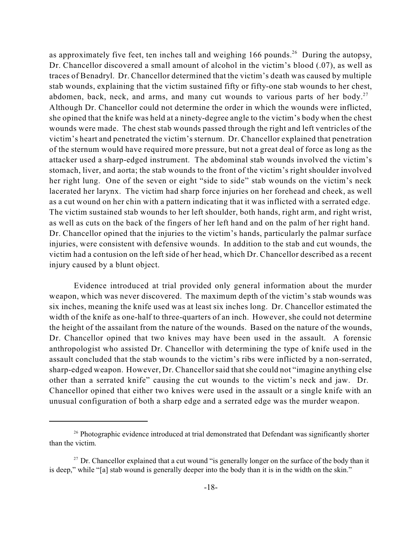as approximately five feet, ten inches tall and weighing 166 pounds.<sup>26</sup> During the autopsy, Dr. Chancellor discovered a small amount of alcohol in the victim's blood (.07), as well as traces of Benadryl. Dr. Chancellor determined that the victim's death was caused by multiple stab wounds, explaining that the victim sustained fifty or fifty-one stab wounds to her chest, abdomen, back, neck, and arms, and many cut wounds to various parts of her body.<sup>27</sup> Although Dr. Chancellor could not determine the order in which the wounds were inflicted, she opined that the knife was held at a ninety-degree angle to the victim's body when the chest wounds were made. The chest stab wounds passed through the right and left ventricles of the victim's heart and penetrated the victim's sternum. Dr. Chancellor explained that penetration of the sternum would have required more pressure, but not a great deal of force as long as the attacker used a sharp-edged instrument. The abdominal stab wounds involved the victim's stomach, liver, and aorta; the stab wounds to the front of the victim's right shoulder involved her right lung. One of the seven or eight "side to side" stab wounds on the victim's neck lacerated her larynx. The victim had sharp force injuries on her forehead and cheek, as well as a cut wound on her chin with a pattern indicating that it was inflicted with a serrated edge. The victim sustained stab wounds to her left shoulder, both hands, right arm, and right wrist, as well as cuts on the back of the fingers of her left hand and on the palm of her right hand. Dr. Chancellor opined that the injuries to the victim's hands, particularly the palmar surface injuries, were consistent with defensive wounds. In addition to the stab and cut wounds, the victim had a contusion on the left side of her head, which Dr. Chancellor described as a recent injury caused by a blunt object.

Evidence introduced at trial provided only general information about the murder weapon, which was never discovered. The maximum depth of the victim's stab wounds was six inches, meaning the knife used was at least six inches long. Dr. Chancellor estimated the width of the knife as one-half to three-quarters of an inch. However, she could not determine the height of the assailant from the nature of the wounds. Based on the nature of the wounds, Dr. Chancellor opined that two knives may have been used in the assault. A forensic anthropologist who assisted Dr. Chancellor with determining the type of knife used in the assault concluded that the stab wounds to the victim's ribs were inflicted by a non-serrated, sharp-edged weapon. However, Dr. Chancellor said thatshe could not "imagine anything else other than a serrated knife" causing the cut wounds to the victim's neck and jaw. Dr. Chancellor opined that either two knives were used in the assault or a single knife with an unusual configuration of both a sharp edge and a serrated edge was the murder weapon.

<sup>&</sup>lt;sup>26</sup> Photographic evidence introduced at trial demonstrated that Defendant was significantly shorter than the victim.

 $27$  Dr. Chancellor explained that a cut wound "is generally longer on the surface of the body than it is deep," while "[a] stab wound is generally deeper into the body than it is in the width on the skin."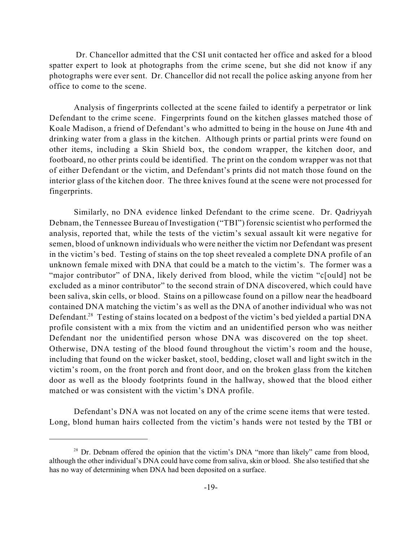Dr. Chancellor admitted that the CSI unit contacted her office and asked for a blood spatter expert to look at photographs from the crime scene, but she did not know if any photographs were ever sent. Dr. Chancellor did not recall the police asking anyone from her office to come to the scene.

Analysis of fingerprints collected at the scene failed to identify a perpetrator or link Defendant to the crime scene. Fingerprints found on the kitchen glasses matched those of Koale Madison, a friend of Defendant's who admitted to being in the house on June 4th and drinking water from a glass in the kitchen. Although prints or partial prints were found on other items, including a Skin Shield box, the condom wrapper, the kitchen door, and footboard, no other prints could be identified. The print on the condom wrapper was not that of either Defendant or the victim, and Defendant's prints did not match those found on the interior glass of the kitchen door. The three knives found at the scene were not processed for fingerprints.

Similarly, no DNA evidence linked Defendant to the crime scene. Dr. Qadriyyah Debnam, the Tennessee Bureau of Investigation ("TBI") forensic scientist who performed the analysis, reported that, while the tests of the victim's sexual assault kit were negative for semen, blood of unknown individuals who were neither the victim nor Defendant was present in the victim's bed. Testing of stains on the top sheet revealed a complete DNA profile of an unknown female mixed with DNA that could be a match to the victim's. The former was a "major contributor" of DNA, likely derived from blood, while the victim "c[ould] not be excluded as a minor contributor" to the second strain of DNA discovered, which could have been saliva, skin cells, or blood. Stains on a pillowcase found on a pillow near the headboard contained DNA matching the victim's as well as the DNA of another individual who was not Defendant.<sup>28</sup> Testing of stains located on a bedpost of the victim's bed yielded a partial DNA profile consistent with a mix from the victim and an unidentified person who was neither Defendant nor the unidentified person whose DNA was discovered on the top sheet. Otherwise, DNA testing of the blood found throughout the victim's room and the house, including that found on the wicker basket, stool, bedding, closet wall and light switch in the victim's room, on the front porch and front door, and on the broken glass from the kitchen door as well as the bloody footprints found in the hallway, showed that the blood either matched or was consistent with the victim's DNA profile.

Defendant's DNA was not located on any of the crime scene items that were tested. Long, blond human hairs collected from the victim's hands were not tested by the TBI or

 $28$  Dr. Debnam offered the opinion that the victim's DNA "more than likely" came from blood, although the other individual's DNA could have come from saliva, skin or blood. She also testified that she has no way of determining when DNA had been deposited on a surface.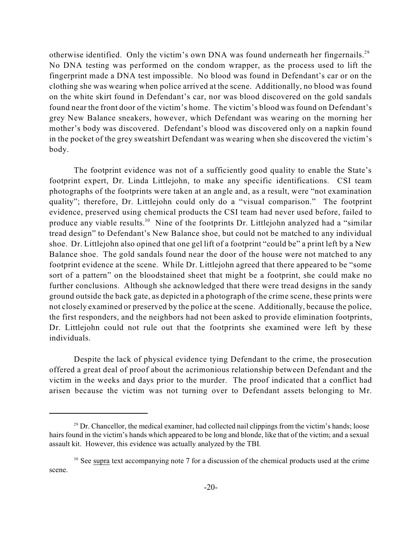otherwise identified. Only the victim's own DNA was found underneath her fingernails.<sup>29</sup> No DNA testing was performed on the condom wrapper, as the process used to lift the fingerprint made a DNA test impossible. No blood was found in Defendant's car or on the clothing she was wearing when police arrived at the scene. Additionally, no blood was found on the white skirt found in Defendant's car, nor was blood discovered on the gold sandals found near the front door of the victim's home. The victim's blood was found on Defendant's grey New Balance sneakers, however, which Defendant was wearing on the morning her mother's body was discovered. Defendant's blood was discovered only on a napkin found in the pocket of the grey sweatshirt Defendant was wearing when she discovered the victim's body.

The footprint evidence was not of a sufficiently good quality to enable the State's footprint expert, Dr. Linda Littlejohn, to make any specific identifications. CSI team photographs of the footprints were taken at an angle and, as a result, were "not examination quality"; therefore, Dr. Littlejohn could only do a "visual comparison." The footprint evidence, preserved using chemical products the CSI team had never used before, failed to produce any viable results.<sup>30</sup> Nine of the footprints Dr. Littlejohn analyzed had a "similar tread design" to Defendant's New Balance shoe, but could not be matched to any individual shoe. Dr. Littlejohn also opined that one gel lift of a footprint "could be" a print left by a New Balance shoe. The gold sandals found near the door of the house were not matched to any footprint evidence at the scene. While Dr. Littlejohn agreed that there appeared to be "some sort of a pattern" on the bloodstained sheet that might be a footprint, she could make no further conclusions. Although she acknowledged that there were tread designs in the sandy ground outside the back gate, as depicted in a photograph of the crime scene, these prints were not closely examined or preserved by the police at the scene. Additionally, because the police, the first responders, and the neighbors had not been asked to provide elimination footprints, Dr. Littlejohn could not rule out that the footprints she examined were left by these individuals.

Despite the lack of physical evidence tying Defendant to the crime, the prosecution offered a great deal of proof about the acrimonious relationship between Defendant and the victim in the weeks and days prior to the murder. The proof indicated that a conflict had arisen because the victim was not turning over to Defendant assets belonging to Mr.

 $29$  Dr. Chancellor, the medical examiner, had collected nail clippings from the victim's hands; loose hairs found in the victim's hands which appeared to be long and blonde, like that of the victim; and a sexual assault kit. However, this evidence was actually analyzed by the TBI.

 $30$  See supra text accompanying note 7 for a discussion of the chemical products used at the crime scene.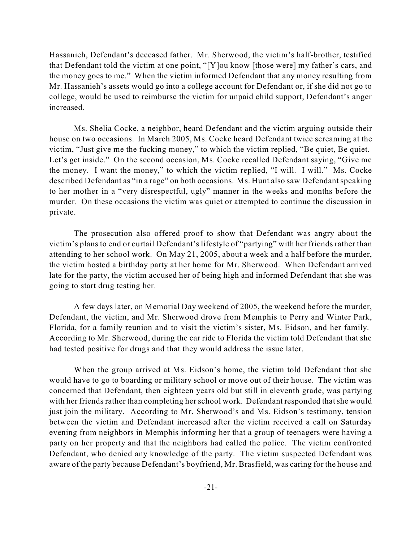Hassanieh, Defendant's deceased father. Mr. Sherwood, the victim's half-brother, testified that Defendant told the victim at one point, "[Y]ou know [those were] my father's cars, and the money goes to me." When the victim informed Defendant that any money resulting from Mr. Hassanieh's assets would go into a college account for Defendant or, if she did not go to college, would be used to reimburse the victim for unpaid child support, Defendant's anger increased.

Ms. Shelia Cocke, a neighbor, heard Defendant and the victim arguing outside their house on two occasions. In March 2005, Ms. Cocke heard Defendant twice screaming at the victim, "Just give me the fucking money," to which the victim replied, "Be quiet, Be quiet. Let's get inside." On the second occasion, Ms. Cocke recalled Defendant saying, "Give me the money. I want the money," to which the victim replied, "I will. I will." Ms. Cocke described Defendant as "in a rage" on both occasions. Ms. Hunt also saw Defendant speaking to her mother in a "very disrespectful, ugly" manner in the weeks and months before the murder. On these occasions the victim was quiet or attempted to continue the discussion in private.

The prosecution also offered proof to show that Defendant was angry about the victim's plans to end or curtail Defendant's lifestyle of "partying" with her friends rather than attending to her school work. On May 21, 2005, about a week and a half before the murder, the victim hosted a birthday party at her home for Mr. Sherwood. When Defendant arrived late for the party, the victim accused her of being high and informed Defendant that she was going to start drug testing her.

A few days later, on Memorial Day weekend of 2005, the weekend before the murder, Defendant, the victim, and Mr. Sherwood drove from Memphis to Perry and Winter Park, Florida, for a family reunion and to visit the victim's sister, Ms. Eidson, and her family. According to Mr. Sherwood, during the car ride to Florida the victim told Defendant that she had tested positive for drugs and that they would address the issue later.

When the group arrived at Ms. Eidson's home, the victim told Defendant that she would have to go to boarding or military school or move out of their house. The victim was concerned that Defendant, then eighteen years old but still in eleventh grade, was partying with her friends rather than completing her school work. Defendant responded thatshe would just join the military. According to Mr. Sherwood's and Ms. Eidson's testimony, tension between the victim and Defendant increased after the victim received a call on Saturday evening from neighbors in Memphis informing her that a group of teenagers were having a party on her property and that the neighbors had called the police. The victim confronted Defendant, who denied any knowledge of the party. The victim suspected Defendant was aware of the party because Defendant's boyfriend, Mr. Brasfield, was caring for the house and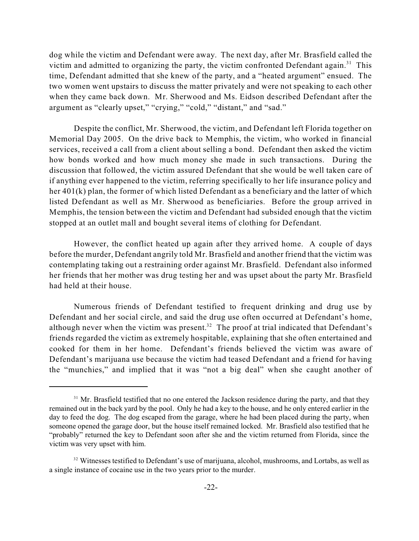dog while the victim and Defendant were away. The next day, after Mr. Brasfield called the victim and admitted to organizing the party, the victim confronted Defendant again.<sup>31</sup> This time, Defendant admitted that she knew of the party, and a "heated argument" ensued. The two women went upstairs to discuss the matter privately and were not speaking to each other when they came back down. Mr. Sherwood and Ms. Eidson described Defendant after the argument as "clearly upset," "crying," "cold," "distant," and "sad."

Despite the conflict, Mr. Sherwood, the victim, and Defendant left Florida together on Memorial Day 2005. On the drive back to Memphis, the victim, who worked in financial services, received a call from a client about selling a bond. Defendant then asked the victim how bonds worked and how much money she made in such transactions. During the discussion that followed, the victim assured Defendant that she would be well taken care of if anything ever happened to the victim, referring specifically to her life insurance policy and her 401(k) plan, the former of which listed Defendant as a beneficiary and the latter of which listed Defendant as well as Mr. Sherwood as beneficiaries. Before the group arrived in Memphis, the tension between the victim and Defendant had subsided enough that the victim stopped at an outlet mall and bought several items of clothing for Defendant.

However, the conflict heated up again after they arrived home. A couple of days before the murder, Defendant angrily told Mr. Brasfield and another friend that the victim was contemplating taking out a restraining order against Mr. Brasfield. Defendant also informed her friends that her mother was drug testing her and was upset about the party Mr. Brasfield had held at their house.

Numerous friends of Defendant testified to frequent drinking and drug use by Defendant and her social circle, and said the drug use often occurred at Defendant's home, although never when the victim was present.<sup>32</sup> The proof at trial indicated that Defendant's friends regarded the victim as extremely hospitable, explaining that she often entertained and cooked for them in her home. Defendant's friends believed the victim was aware of Defendant's marijuana use because the victim had teased Defendant and a friend for having the "munchies," and implied that it was "not a big deal" when she caught another of

<sup>&</sup>lt;sup>31</sup> Mr. Brasfield testified that no one entered the Jackson residence during the party, and that they remained out in the back yard by the pool. Only he had a key to the house, and he only entered earlier in the day to feed the dog. The dog escaped from the garage, where he had been placed during the party, when someone opened the garage door, but the house itself remained locked. Mr. Brasfield also testified that he "probably" returned the key to Defendant soon after she and the victim returned from Florida, since the victim was very upset with him.

<sup>&</sup>lt;sup>32</sup> Witnesses testified to Defendant's use of marijuana, alcohol, mushrooms, and Lortabs, as well as a single instance of cocaine use in the two years prior to the murder.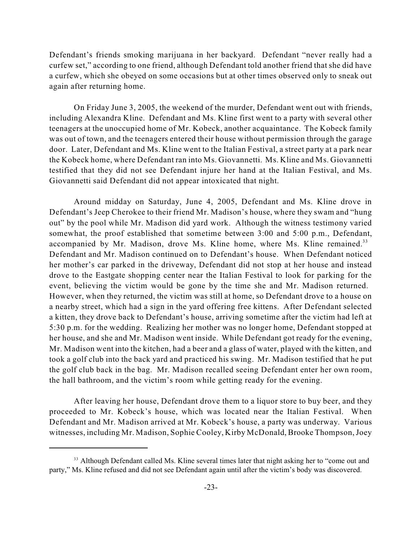Defendant's friends smoking marijuana in her backyard. Defendant "never really had a curfew set," according to one friend, although Defendant told another friend that she did have a curfew, which she obeyed on some occasions but at other times observed only to sneak out again after returning home.

On Friday June 3, 2005, the weekend of the murder, Defendant went out with friends, including Alexandra Kline. Defendant and Ms. Kline first went to a party with several other teenagers at the unoccupied home of Mr. Kobeck, another acquaintance. The Kobeck family was out of town, and the teenagers entered their house without permission through the garage door. Later, Defendant and Ms. Kline went to the Italian Festival, a street party at a park near the Kobeck home, where Defendant ran into Ms. Giovannetti. Ms. Kline and Ms. Giovannetti testified that they did not see Defendant injure her hand at the Italian Festival, and Ms. Giovannetti said Defendant did not appear intoxicated that night.

Around midday on Saturday, June 4, 2005, Defendant and Ms. Kline drove in Defendant's Jeep Cherokee to their friend Mr. Madison's house, where they swam and "hung out" by the pool while Mr. Madison did yard work. Although the witness testimony varied somewhat, the proof established that sometime between 3:00 and 5:00 p.m., Defendant, accompanied by Mr. Madison, drove Ms. Kline home, where Ms. Kline remained.<sup>33</sup> Defendant and Mr. Madison continued on to Defendant's house. When Defendant noticed her mother's car parked in the driveway, Defendant did not stop at her house and instead drove to the Eastgate shopping center near the Italian Festival to look for parking for the event, believing the victim would be gone by the time she and Mr. Madison returned. However, when they returned, the victim was still at home, so Defendant drove to a house on a nearby street, which had a sign in the yard offering free kittens. After Defendant selected a kitten, they drove back to Defendant's house, arriving sometime after the victim had left at 5:30 p.m. for the wedding. Realizing her mother was no longer home, Defendant stopped at her house, and she and Mr. Madison went inside. While Defendant got ready for the evening, Mr. Madison went into the kitchen, had a beer and a glass of water, played with the kitten, and took a golf club into the back yard and practiced his swing. Mr. Madison testified that he put the golf club back in the bag. Mr. Madison recalled seeing Defendant enter her own room, the hall bathroom, and the victim's room while getting ready for the evening.

After leaving her house, Defendant drove them to a liquor store to buy beer, and they proceeded to Mr. Kobeck's house, which was located near the Italian Festival. When Defendant and Mr. Madison arrived at Mr. Kobeck's house, a party was underway. Various witnesses, including Mr. Madison, Sophie Cooley, Kirby McDonald, Brooke Thompson,Joey

<sup>&</sup>lt;sup>33</sup> Although Defendant called Ms. Kline several times later that night asking her to "come out and party," Ms. Kline refused and did not see Defendant again until after the victim's body was discovered.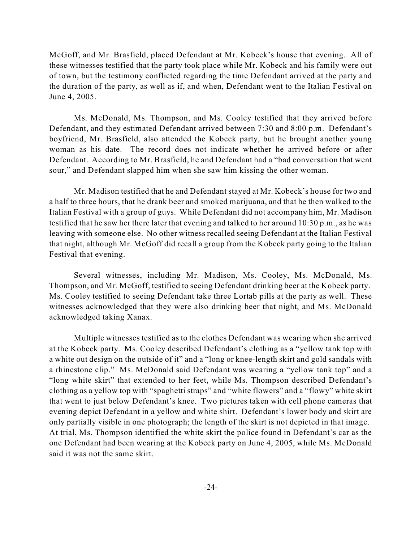McGoff, and Mr. Brasfield, placed Defendant at Mr. Kobeck's house that evening. All of these witnesses testified that the party took place while Mr. Kobeck and his family were out of town, but the testimony conflicted regarding the time Defendant arrived at the party and the duration of the party, as well as if, and when, Defendant went to the Italian Festival on June 4, 2005.

Ms. McDonald, Ms. Thompson, and Ms. Cooley testified that they arrived before Defendant, and they estimated Defendant arrived between 7:30 and 8:00 p.m. Defendant's boyfriend, Mr. Brasfield, also attended the Kobeck party, but he brought another young woman as his date. The record does not indicate whether he arrived before or after Defendant. According to Mr. Brasfield, he and Defendant had a "bad conversation that went sour," and Defendant slapped him when she saw him kissing the other woman.

Mr. Madison testified that he and Defendant stayed at Mr. Kobeck's house for two and a half to three hours, that he drank beer and smoked marijuana, and that he then walked to the Italian Festival with a group of guys. While Defendant did not accompany him, Mr. Madison testified that he saw her there later that evening and talked to her around 10:30 p.m., as he was leaving with someone else. No other witness recalled seeing Defendant at the Italian Festival that night, although Mr. McGoff did recall a group from the Kobeck party going to the Italian Festival that evening.

Several witnesses, including Mr. Madison, Ms. Cooley, Ms. McDonald, Ms. Thompson, and Mr. McGoff, testified to seeing Defendant drinking beer at the Kobeck party. Ms. Cooley testified to seeing Defendant take three Lortab pills at the party as well. These witnesses acknowledged that they were also drinking beer that night, and Ms. McDonald acknowledged taking Xanax.

Multiple witnesses testified as to the clothes Defendant was wearing when she arrived at the Kobeck party. Ms. Cooley described Defendant's clothing as a "yellow tank top with a white out design on the outside of it" and a "long or knee-length skirt and gold sandals with a rhinestone clip." Ms. McDonald said Defendant was wearing a "yellow tank top" and a "long white skirt" that extended to her feet, while Ms. Thompson described Defendant's clothing as a yellow top with "spaghetti straps" and "white flowers" and a "flowy" white skirt that went to just below Defendant's knee. Two pictures taken with cell phone cameras that evening depict Defendant in a yellow and white shirt. Defendant's lower body and skirt are only partially visible in one photograph; the length of the skirt is not depicted in that image. At trial, Ms. Thompson identified the white skirt the police found in Defendant's car as the one Defendant had been wearing at the Kobeck party on June 4, 2005, while Ms. McDonald said it was not the same skirt.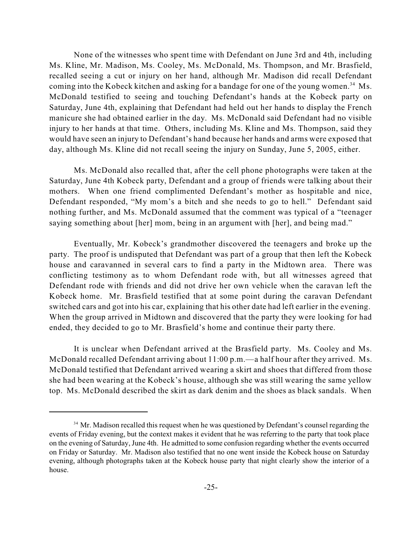None of the witnesses who spent time with Defendant on June 3rd and 4th, including Ms. Kline, Mr. Madison, Ms. Cooley, Ms. McDonald, Ms. Thompson, and Mr. Brasfield, recalled seeing a cut or injury on her hand, although Mr. Madison did recall Defendant coming into the Kobeck kitchen and asking for a bandage for one of the young women.<sup>34</sup> Ms. McDonald testified to seeing and touching Defendant's hands at the Kobeck party on Saturday, June 4th, explaining that Defendant had held out her hands to display the French manicure she had obtained earlier in the day. Ms. McDonald said Defendant had no visible injury to her hands at that time. Others, including Ms. Kline and Ms. Thompson, said they would have seen an injury to Defendant's hand because her hands and arms were exposed that day, although Ms. Kline did not recall seeing the injury on Sunday, June 5, 2005, either.

Ms. McDonald also recalled that, after the cell phone photographs were taken at the Saturday, June 4th Kobeck party, Defendant and a group of friends were talking about their mothers. When one friend complimented Defendant's mother as hospitable and nice, Defendant responded, "My mom's a bitch and she needs to go to hell." Defendant said nothing further, and Ms. McDonald assumed that the comment was typical of a "teenager saying something about [her] mom, being in an argument with [her], and being mad."

Eventually, Mr. Kobeck's grandmother discovered the teenagers and broke up the party. The proof is undisputed that Defendant was part of a group that then left the Kobeck house and caravanned in several cars to find a party in the Midtown area. There was conflicting testimony as to whom Defendant rode with, but all witnesses agreed that Defendant rode with friends and did not drive her own vehicle when the caravan left the Kobeck home. Mr. Brasfield testified that at some point during the caravan Defendant switched cars and got into his car, explaining that his other date had left earlier in the evening. When the group arrived in Midtown and discovered that the party they were looking for had ended, they decided to go to Mr. Brasfield's home and continue their party there.

It is unclear when Defendant arrived at the Brasfield party. Ms. Cooley and Ms. McDonald recalled Defendant arriving about 11:00 p.m.—a half hour after they arrived. Ms. McDonald testified that Defendant arrived wearing a skirt and shoes that differed from those she had been wearing at the Kobeck's house, although she was still wearing the same yellow top. Ms. McDonald described the skirt as dark denim and the shoes as black sandals. When

<sup>&</sup>lt;sup>34</sup> Mr. Madison recalled this request when he was questioned by Defendant's counsel regarding the events of Friday evening, but the context makes it evident that he was referring to the party that took place on the evening of Saturday, June 4th. He admitted to some confusion regarding whether the events occurred on Friday or Saturday. Mr. Madison also testified that no one went inside the Kobeck house on Saturday evening, although photographs taken at the Kobeck house party that night clearly show the interior of a house.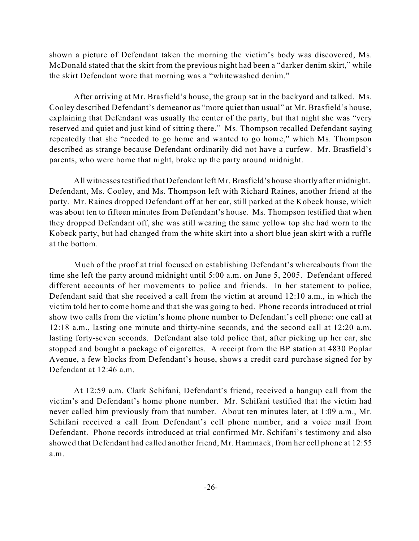shown a picture of Defendant taken the morning the victim's body was discovered, Ms. McDonald stated that the skirt from the previous night had been a "darker denim skirt," while the skirt Defendant wore that morning was a "whitewashed denim."

After arriving at Mr. Brasfield's house, the group sat in the backyard and talked. Ms. Cooley described Defendant's demeanor as "more quiet than usual" at Mr. Brasfield's house, explaining that Defendant was usually the center of the party, but that night she was "very reserved and quiet and just kind of sitting there." Ms. Thompson recalled Defendant saying repeatedly that she "needed to go home and wanted to go home," which Ms. Thompson described as strange because Defendant ordinarily did not have a curfew. Mr. Brasfield's parents, who were home that night, broke up the party around midnight.

All witnessestestified that Defendant left Mr. Brasfield's house shortly after midnight. Defendant, Ms. Cooley, and Ms. Thompson left with Richard Raines, another friend at the party. Mr. Raines dropped Defendant off at her car, still parked at the Kobeck house, which was about ten to fifteen minutes from Defendant's house. Ms. Thompson testified that when they dropped Defendant off, she was still wearing the same yellow top she had worn to the Kobeck party, but had changed from the white skirt into a short blue jean skirt with a ruffle at the bottom.

Much of the proof at trial focused on establishing Defendant's whereabouts from the time she left the party around midnight until 5:00 a.m. on June 5, 2005. Defendant offered different accounts of her movements to police and friends. In her statement to police, Defendant said that she received a call from the victim at around 12:10 a.m., in which the victim told her to come home and that she was going to bed. Phone records introduced at trial show two calls from the victim's home phone number to Defendant's cell phone: one call at 12:18 a.m., lasting one minute and thirty-nine seconds, and the second call at 12:20 a.m. lasting forty-seven seconds. Defendant also told police that, after picking up her car, she stopped and bought a package of cigarettes. A receipt from the BP station at 4830 Poplar Avenue, a few blocks from Defendant's house, shows a credit card purchase signed for by Defendant at 12:46 a.m.

At 12:59 a.m. Clark Schifani, Defendant's friend, received a hangup call from the victim's and Defendant's home phone number. Mr. Schifani testified that the victim had never called him previously from that number. About ten minutes later, at 1:09 a.m., Mr. Schifani received a call from Defendant's cell phone number, and a voice mail from Defendant. Phone records introduced at trial confirmed Mr. Schifani's testimony and also showed that Defendant had called another friend, Mr. Hammack, from her cell phone at 12:55 a.m.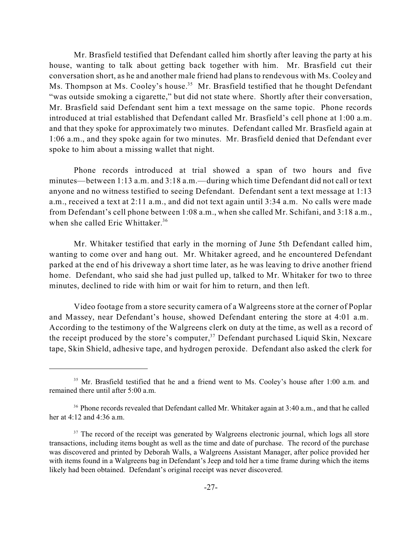Mr. Brasfield testified that Defendant called him shortly after leaving the party at his house, wanting to talk about getting back together with him. Mr. Brasfield cut their conversation short, as he and another male friend had plans to rendevous with Ms. Cooley and Ms. Thompson at Ms. Cooley's house.<sup>35</sup> Mr. Brasfield testified that he thought Defendant "was outside smoking a cigarette," but did not state where. Shortly after their conversation, Mr. Brasfield said Defendant sent him a text message on the same topic. Phone records introduced at trial established that Defendant called Mr. Brasfield's cell phone at 1:00 a.m. and that they spoke for approximately two minutes. Defendant called Mr. Brasfield again at 1:06 a.m., and they spoke again for two minutes. Mr. Brasfield denied that Defendant ever spoke to him about a missing wallet that night.

Phone records introduced at trial showed a span of two hours and five minutes—between 1:13 a.m. and 3:18 a.m.—during which time Defendant did not call or text anyone and no witness testified to seeing Defendant. Defendant sent a text message at 1:13 a.m., received a text at 2:11 a.m., and did not text again until 3:34 a.m. No calls were made from Defendant's cell phone between 1:08 a.m., when she called Mr. Schifani, and 3:18 a.m., when she called Eric Whittaker.<sup>36</sup>

Mr. Whitaker testified that early in the morning of June 5th Defendant called him, wanting to come over and hang out. Mr. Whitaker agreed, and he encountered Defendant parked at the end of his driveway a short time later, as he was leaving to drive another friend home. Defendant, who said she had just pulled up, talked to Mr. Whitaker for two to three minutes, declined to ride with him or wait for him to return, and then left.

Video footage from a store security camera of a Walgreens store at the corner of Poplar and Massey, near Defendant's house, showed Defendant entering the store at 4:01 a.m. According to the testimony of the Walgreens clerk on duty at the time, as well as a record of the receipt produced by the store's computer,<sup>37</sup> Defendant purchased Liquid Skin, Nexcare tape, Skin Shield, adhesive tape, and hydrogen peroxide. Defendant also asked the clerk for

<sup>&</sup>lt;sup>35</sup> Mr. Brasfield testified that he and a friend went to Ms. Cooley's house after 1:00 a.m. and remained there until after 5:00 a.m.

<sup>&</sup>lt;sup>36</sup> Phone records revealed that Defendant called Mr. Whitaker again at 3:40 a.m., and that he called her at 4:12 and 4:36 a.m.

 $37$  The record of the receipt was generated by Walgreens electronic journal, which logs all store transactions, including items bought as well as the time and date of purchase. The record of the purchase was discovered and printed by Deborah Walls, a Walgreens Assistant Manager, after police provided her with items found in a Walgreens bag in Defendant's Jeep and told her a time frame during which the items likely had been obtained. Defendant's original receipt was never discovered.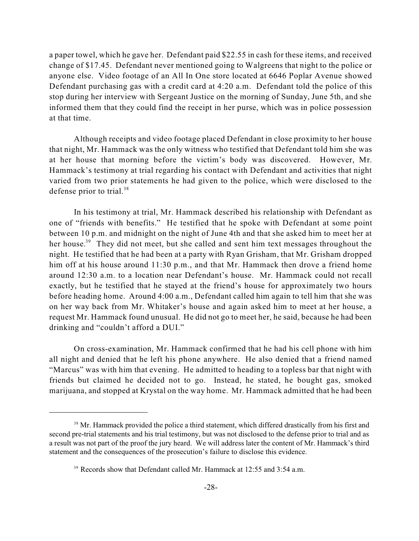a paper towel, which he gave her. Defendant paid \$22.55 in cash for these items, and received change of \$17.45. Defendant never mentioned going to Walgreens that night to the police or anyone else. Video footage of an All In One store located at 6646 Poplar Avenue showed Defendant purchasing gas with a credit card at 4:20 a.m. Defendant told the police of this stop during her interview with Sergeant Justice on the morning of Sunday, June 5th, and she informed them that they could find the receipt in her purse, which was in police possession at that time.

Although receipts and video footage placed Defendant in close proximity to her house that night, Mr. Hammack was the only witness who testified that Defendant told him she was at her house that morning before the victim's body was discovered. However, Mr. Hammack's testimony at trial regarding his contact with Defendant and activities that night varied from two prior statements he had given to the police, which were disclosed to the defense prior to trial.<sup>38</sup>

In his testimony at trial, Mr. Hammack described his relationship with Defendant as one of "friends with benefits." He testified that he spoke with Defendant at some point between 10 p.m. and midnight on the night of June 4th and that she asked him to meet her at her house.<sup>39</sup> They did not meet, but she called and sent him text messages throughout the night. He testified that he had been at a party with Ryan Grisham, that Mr. Grisham dropped him off at his house around 11:30 p.m., and that Mr. Hammack then drove a friend home around 12:30 a.m. to a location near Defendant's house. Mr. Hammack could not recall exactly, but he testified that he stayed at the friend's house for approximately two hours before heading home. Around 4:00 a.m., Defendant called him again to tell him that she was on her way back from Mr. Whitaker's house and again asked him to meet at her house, a request Mr. Hammack found unusual. He did not go to meet her, he said, because he had been drinking and "couldn't afford a DUI."

On cross-examination, Mr. Hammack confirmed that he had his cell phone with him all night and denied that he left his phone anywhere. He also denied that a friend named "Marcus" was with him that evening. He admitted to heading to a topless bar that night with friends but claimed he decided not to go. Instead, he stated, he bought gas, smoked marijuana, and stopped at Krystal on the way home. Mr. Hammack admitted that he had been

<sup>&</sup>lt;sup>38</sup> Mr. Hammack provided the police a third statement, which differed drastically from his first and second pre-trial statements and his trial testimony, but was not disclosed to the defense prior to trial and as a result was not part of the proof the jury heard. We will address later the content of Mr. Hammack's third statement and the consequences of the prosecution's failure to disclose this evidence.

 $39$  Records show that Defendant called Mr. Hammack at 12:55 and 3:54 a.m.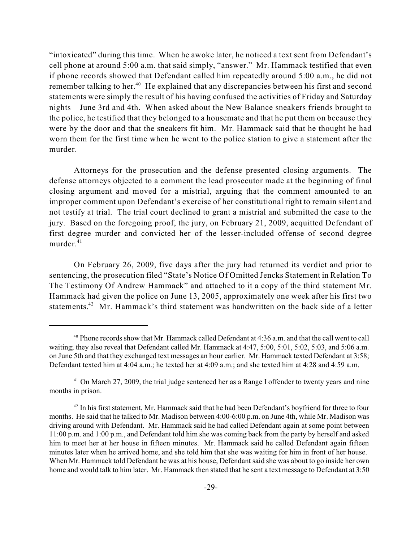"intoxicated" during this time. When he awoke later, he noticed a text sent from Defendant's cell phone at around 5:00 a.m. that said simply, "answer." Mr. Hammack testified that even if phone records showed that Defendant called him repeatedly around 5:00 a.m., he did not remember talking to her.<sup>40</sup> He explained that any discrepancies between his first and second statements were simply the result of his having confused the activities of Friday and Saturday nights—June 3rd and 4th. When asked about the New Balance sneakers friends brought to the police, he testified that they belonged to a housemate and that he put them on because they were by the door and that the sneakers fit him. Mr. Hammack said that he thought he had worn them for the first time when he went to the police station to give a statement after the murder.

Attorneys for the prosecution and the defense presented closing arguments. The defense attorneys objected to a comment the lead prosecutor made at the beginning of final closing argument and moved for a mistrial, arguing that the comment amounted to an improper comment upon Defendant's exercise of her constitutional right to remain silent and not testify at trial. The trial court declined to grant a mistrial and submitted the case to the jury. Based on the foregoing proof, the jury, on February 21, 2009, acquitted Defendant of first degree murder and convicted her of the lesser-included offense of second degree murder. 41

On February 26, 2009, five days after the jury had returned its verdict and prior to sentencing, the prosecution filed "State's Notice Of Omitted Jencks Statement in Relation To The Testimony Of Andrew Hammack" and attached to it a copy of the third statement Mr. Hammack had given the police on June 13, 2005, approximately one week after his first two statements.<sup>42</sup> Mr. Hammack's third statement was handwritten on the back side of a letter

Phone records show that Mr. Hammack called Defendant at 4:36 a.m. and that the call went to call 40 waiting; they also reveal that Defendant called Mr. Hammack at 4:47, 5:00, 5:01, 5:02, 5:03, and 5:06 a.m. on June 5th and that they exchanged text messages an hour earlier. Mr. Hammack texted Defendant at 3:58; Defendant texted him at 4:04 a.m.; he texted her at 4:09 a.m.; and she texted him at 4:28 and 4:59 a.m.

<sup>&</sup>lt;sup>41</sup> On March 27, 2009, the trial judge sentenced her as a Range I offender to twenty years and nine months in prison.

 $42$  In his first statement, Mr. Hammack said that he had been Defendant's boyfriend for three to four months. He said that he talked to Mr. Madison between 4:00-6:00 p.m. on June 4th, while Mr. Madison was driving around with Defendant. Mr. Hammack said he had called Defendant again at some point between 11:00 p.m. and 1:00 p.m., and Defendant told him she was coming back from the party by herself and asked him to meet her at her house in fifteen minutes. Mr. Hammack said he called Defendant again fifteen minutes later when he arrived home, and she told him that she was waiting for him in front of her house. When Mr. Hammack told Defendant he was at his house, Defendant said she was about to go inside her own home and would talk to him later. Mr. Hammack then stated that he sent a text message to Defendant at 3:50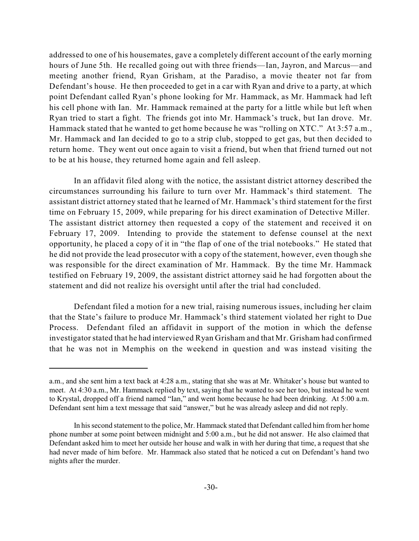addressed to one of his housemates, gave a completely different account of the early morning hours of June 5th. He recalled going out with three friends—Ian, Jayron, and Marcus—and meeting another friend, Ryan Grisham, at the Paradiso, a movie theater not far from Defendant's house. He then proceeded to get in a car with Ryan and drive to a party, at which point Defendant called Ryan's phone looking for Mr. Hammack, as Mr. Hammack had left his cell phone with Ian. Mr. Hammack remained at the party for a little while but left when Ryan tried to start a fight. The friends got into Mr. Hammack's truck, but Ian drove. Mr. Hammack stated that he wanted to get home because he was "rolling on XTC." At 3:57 a.m., Mr. Hammack and Ian decided to go to a strip club, stopped to get gas, but then decided to return home. They went out once again to visit a friend, but when that friend turned out not to be at his house, they returned home again and fell asleep.

In an affidavit filed along with the notice, the assistant district attorney described the circumstances surrounding his failure to turn over Mr. Hammack's third statement. The assistant district attorney stated that he learned of Mr. Hammack's third statement for the first time on February 15, 2009, while preparing for his direct examination of Detective Miller. The assistant district attorney then requested a copy of the statement and received it on February 17, 2009. Intending to provide the statement to defense counsel at the next opportunity, he placed a copy of it in "the flap of one of the trial notebooks." He stated that he did not provide the lead prosecutor with a copy of the statement, however, even though she was responsible for the direct examination of Mr. Hammack. By the time Mr. Hammack testified on February 19, 2009, the assistant district attorney said he had forgotten about the statement and did not realize his oversight until after the trial had concluded.

Defendant filed a motion for a new trial, raising numerous issues, including her claim that the State's failure to produce Mr. Hammack's third statement violated her right to Due Process. Defendant filed an affidavit in support of the motion in which the defense investigator stated that he had interviewed Ryan Grisham and that Mr. Grisham had confirmed that he was not in Memphis on the weekend in question and was instead visiting the

a.m., and she sent him a text back at 4:28 a.m., stating that she was at Mr. Whitaker's house but wanted to meet. At 4:30 a.m., Mr. Hammack replied by text, saying that he wanted to see her too, but instead he went to Krystal, dropped off a friend named "Ian," and went home because he had been drinking. At 5:00 a.m. Defendant sent him a text message that said "answer," but he was already asleep and did not reply.

In hissecond statement to the police, Mr. Hammack stated that Defendant called him from her home phone number at some point between midnight and 5:00 a.m., but he did not answer. He also claimed that Defendant asked him to meet her outside her house and walk in with her during that time, a request that she had never made of him before. Mr. Hammack also stated that he noticed a cut on Defendant's hand two nights after the murder.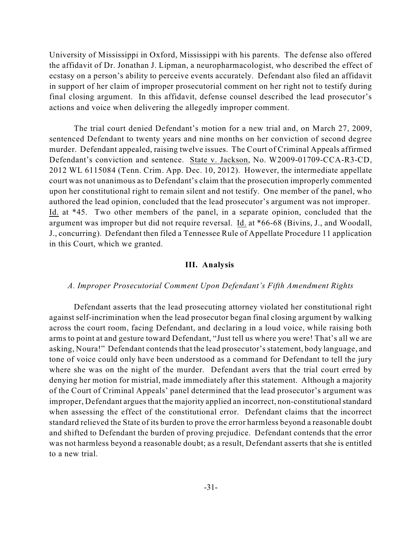University of Mississippi in Oxford, Mississippi with his parents. The defense also offered the affidavit of Dr. Jonathan J. Lipman, a neuropharmacologist, who described the effect of ecstasy on a person's ability to perceive events accurately. Defendant also filed an affidavit in support of her claim of improper prosecutorial comment on her right not to testify during final closing argument. In this affidavit, defense counsel described the lead prosecutor's actions and voice when delivering the allegedly improper comment.

The trial court denied Defendant's motion for a new trial and, on March 27, 2009, sentenced Defendant to twenty years and nine months on her conviction of second degree murder. Defendant appealed, raising twelve issues. The Court of Criminal Appeals affirmed Defendant's conviction and sentence. State v. Jackson, No. W2009-01709-CCA-R3-CD, 2012 WL 6115084 (Tenn. Crim. App. Dec. 10, 2012). However, the intermediate appellate court was not unanimous as to Defendant's claim that the prosecution improperly commented upon her constitutional right to remain silent and not testify. One member of the panel, who authored the lead opinion, concluded that the lead prosecutor's argument was not improper. Id. at \*45. Two other members of the panel, in a separate opinion, concluded that the argument was improper but did not require reversal. Id. at \*66-68 (Bivins, J., and Woodall, J., concurring). Defendant then filed a Tennessee Rule of Appellate Procedure 11 application in this Court, which we granted.

#### **III. Analysis**

#### *A. Improper Prosecutorial Comment Upon Defendant's Fifth Amendment Rights*

Defendant asserts that the lead prosecuting attorney violated her constitutional right against self-incrimination when the lead prosecutor began final closing argument by walking across the court room, facing Defendant, and declaring in a loud voice, while raising both arms to point at and gesture toward Defendant, "Just tell us where you were! That's all we are asking, Noura!" Defendant contends that the lead prosecutor's statement, body language, and tone of voice could only have been understood as a command for Defendant to tell the jury where she was on the night of the murder. Defendant avers that the trial court erred by denying her motion for mistrial, made immediately after this statement. Although a majority of the Court of Criminal Appeals' panel determined that the lead prosecutor's argument was improper, Defendant argues that the majority applied an incorrect, non-constitutional standard when assessing the effect of the constitutional error. Defendant claims that the incorrect standard relieved the State of its burden to prove the error harmless beyond a reasonable doubt and shifted to Defendant the burden of proving prejudice. Defendant contends that the error was not harmless beyond a reasonable doubt; as a result, Defendant asserts that she is entitled to a new trial.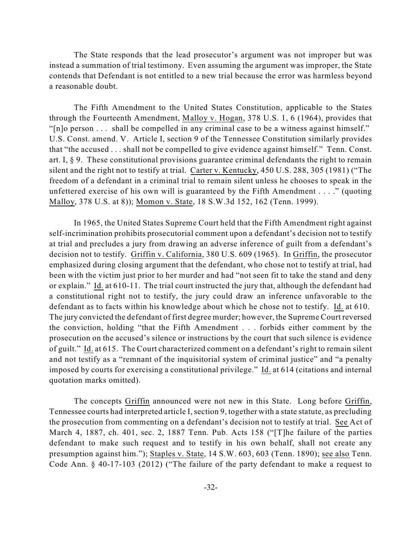The State responds that the lead prosecutor's argument was not improper but was instead a summation of trial testimony. Even assuming the argument was improper, the State contends that Defendant is not entitled to a new trial because the error was harmless beyond a reasonable doubt.

The Fifth Amendment to the United States Constitution, applicable to the States through the Fourteenth Amendment, Malloy v. Hogan, 378 U.S. 1, 6 (1964), provides that "[n]o person . . . shall be compelled in any criminal case to be a witness against himself." U.S. Const. amend. V. Article I, section 9 of the Tennessee Constitution similarly provides that "the accused . . . shall not be compelled to give evidence against himself." Tenn. Const. art. I, § 9. These constitutional provisions guarantee criminal defendants the right to remain silent and the right not to testify at trial. Carter v. Kentucky, 450 U.S. 288, 305 (1981) ("The freedom of a defendant in a criminal trial to remain silent unless he chooses to speak in the unfettered exercise of his own will is guaranteed by the Fifth Amendment . . . ." (quoting Malloy, 378 U.S. at 8)); Momon v. State, 18 S.W.3d 152, 162 (Tenn. 1999).

In 1965, the United States Supreme Court held that the Fifth Amendment right against self-incrimination prohibits prosecutorial comment upon a defendant's decision not to testify at trial and precludes a jury from drawing an adverse inference of guilt from a defendant's decision not to testify. Griffin v. California, 380 U.S. 609 (1965). In Griffin, the prosecutor emphasized during closing argument that the defendant, who chose not to testify at trial, had been with the victim just prior to her murder and had "not seen fit to take the stand and deny or explain." Id. at 610-11. The trial court instructed the jury that, although the defendant had a constitutional right not to testify, the jury could draw an inference unfavorable to the defendant as to facts within his knowledge about which he chose not to testify. Id. at 610. The jury convicted the defendant of first degree murder; however, the Supreme Court reversed the conviction, holding "that the Fifth Amendment . . . forbids either comment by the prosecution on the accused's silence or instructions by the court that such silence is evidence of guilt." Id. at 615. The Court characterized comment on a defendant's right to remain silent and not testify as a "remnant of the inquisitorial system of criminal justice" and "a penalty imposed by courts for exercising a constitutional privilege." Id. at 614 (citations and internal quotation marks omitted).

The concepts Griffin announced were not new in this State. Long before Griffin, Tennessee courts had interpreted article I, section 9, together with a state statute, as precluding the prosecution from commenting on a defendant's decision not to testify at trial. See Act of March 4, 1887, ch. 401, sec. 2, 1887 Tenn. Pub. Acts 158 ("[T]he failure of the parties defendant to make such request and to testify in his own behalf, shall not create any presumption against him."); Staples v. State, 14 S.W. 603, 603 (Tenn. 1890); see also Tenn. Code Ann. § 40-17-103 (2012) ("The failure of the party defendant to make a request to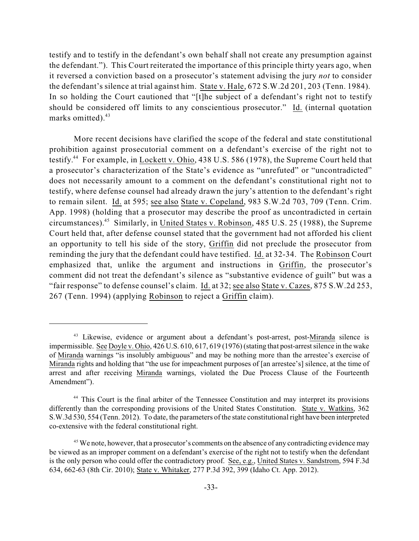testify and to testify in the defendant's own behalf shall not create any presumption against the defendant."). This Court reiterated the importance of this principle thirty years ago, when it reversed a conviction based on a prosecutor's statement advising the jury *not* to consider the defendant's silence at trial against him. State v. Hale, 672 S.W.2d 201, 203 (Tenn. 1984). In so holding the Court cautioned that "[t]he subject of a defendant's right not to testify should be considered off limits to any conscientious prosecutor." Id. (internal quotation marks omitted). 43

More recent decisions have clarified the scope of the federal and state constitutional prohibition against prosecutorial comment on a defendant's exercise of the right not to testify.<sup>44</sup> For example, in Lockett v. Ohio, 438 U.S. 586 (1978), the Supreme Court held that a prosecutor's characterization of the State's evidence as "unrefuted" or "uncontradicted" does not necessarily amount to a comment on the defendant's constitutional right not to testify, where defense counsel had already drawn the jury's attention to the defendant's right to remain silent. Id. at 595; see also State v. Copeland, 983 S.W.2d 703, 709 (Tenn. Crim. App. 1998) (holding that a prosecutor may describe the proof as uncontradicted in certain circumstances).<sup>45</sup> Similarly, in United States v. Robinson, 485 U.S. 25 (1988), the Supreme Court held that, after defense counsel stated that the government had not afforded his client an opportunity to tell his side of the story, Griffin did not preclude the prosecutor from reminding the jury that the defendant could have testified. Id. at 32-34. The Robinson Court emphasized that, unlike the argument and instructions in Griffin, the prosecutor's comment did not treat the defendant's silence as "substantive evidence of guilt" but was a "fair response" to defense counsel's claim. Id. at 32; see also State v. Cazes, 875 S.W.2d 253, 267 (Tenn. 1994) (applying Robinson to reject a Griffin claim).

<sup>&</sup>lt;sup>43</sup> Likewise, evidence or argument about a defendant's post-arrest, post-Miranda silence is impermissible. See Doyle v. Ohio, 426 U.S. 610, 617, 619 (1976) (stating that post-arrestsilence in the wake of Miranda warnings "is insolubly ambiguous" and may be nothing more than the arrestee's exercise of Miranda rights and holding that "the use for impeachment purposes of [an arrestee's] silence, at the time of arrest and after receiving Miranda warnings, violated the Due Process Clause of the Fourteenth Amendment").

<sup>&</sup>lt;sup>44</sup> This Court is the final arbiter of the Tennessee Constitution and may interpret its provisions differently than the corresponding provisions of the United States Constitution. State v. Watkins, 362 S.W.3d 530, 554 (Tenn. 2012). To date, the parameters of the state constitutional right have been interpreted co-extensive with the federal constitutional right.

<sup>&</sup>lt;sup>45</sup> We note, however, that a prosecutor's comments on the absence of any contradicting evidence may be viewed as an improper comment on a defendant's exercise of the right not to testify when the defendant is the only person who could offer the contradictory proof. See, e.g., United States v. Sandstrom, 594 F.3d 634, 662-63 (8th Cir. 2010); State v. Whitaker, 277 P.3d 392, 399 (Idaho Ct. App. 2012).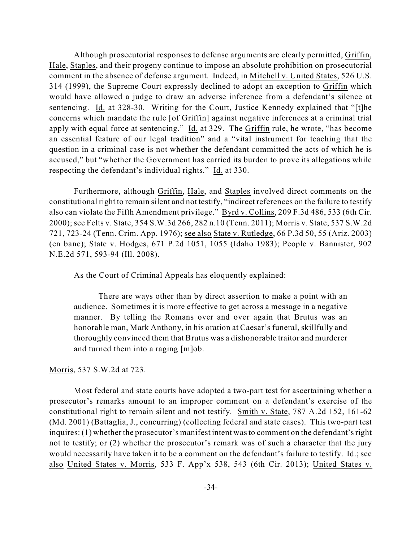Although prosecutorial responses to defense arguments are clearly permitted, Griffin, Hale, Staples, and their progeny continue to impose an absolute prohibition on prosecutorial comment in the absence of defense argument. Indeed, in Mitchell v. United States, 526 U.S. 314 (1999), the Supreme Court expressly declined to adopt an exception to Griffin which would have allowed a judge to draw an adverse inference from a defendant's silence at sentencing. Id. at 328-30. Writing for the Court, Justice Kennedy explained that "[t]he concerns which mandate the rule [of Griffin] against negative inferences at a criminal trial apply with equal force at sentencing." Id. at 329. The Griffin rule, he wrote, "has become an essential feature of our legal tradition" and a "vital instrument for teaching that the question in a criminal case is not whether the defendant committed the acts of which he is accused," but "whether the Government has carried its burden to prove its allegations while respecting the defendant's individual rights." Id. at 330.

Furthermore, although Griffin, Hale, and Staples involved direct comments on the constitutional right to remain silent and not testify, "indirect references on the failure to testify also can violate the Fifth Amendment privilege." Byrd v. Collins, 209 F.3d 486, 533 (6th Cir. 2000); see Felts v. State, 354 S.W.3d 266, 282 n.10 (Tenn. 2011); Morris v. State, 537 S.W.2d 721, 723-24 (Tenn. Crim. App. 1976); see also State v. Rutledge, 66 P.3d 50, 55 (Ariz. 2003) (en banc); State v. Hodges, 671 P.2d 1051, 1055 (Idaho 1983); People v. Bannister, 902 N.E.2d 571, 593-94 (Ill. 2008).

As the Court of Criminal Appeals has eloquently explained:

There are ways other than by direct assertion to make a point with an audience. Sometimes it is more effective to get across a message in a negative manner. By telling the Romans over and over again that Brutus was an honorable man, Mark Anthony, in his oration at Caesar's funeral, skillfully and thoroughly convinced them that Brutus was a dishonorable traitor and murderer and turned them into a raging [m]ob.

Morris, 537 S.W.2d at 723.

Most federal and state courts have adopted a two-part test for ascertaining whether a prosecutor's remarks amount to an improper comment on a defendant's exercise of the constitutional right to remain silent and not testify. Smith v. State, 787 A.2d 152, 161-62 (Md. 2001) (Battaglia, J., concurring) (collecting federal and state cases). This two-part test inquires: (1) whether the prosecutor's manifest intent was to comment on the defendant's right not to testify; or (2) whether the prosecutor's remark was of such a character that the jury would necessarily have taken it to be a comment on the defendant's failure to testify. Id.; see also United States v. Morris, 533 F. App'x 538, 543 (6th Cir. 2013); United States v.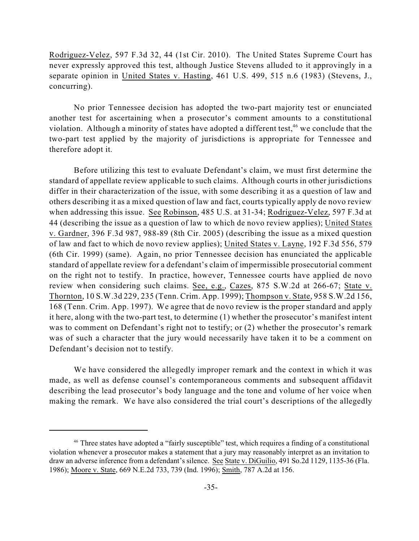Rodriguez-Velez, 597 F.3d 32, 44 (1st Cir. 2010). The United States Supreme Court has never expressly approved this test, although Justice Stevens alluded to it approvingly in a separate opinion in United States v. Hasting, 461 U.S. 499, 515 n.6 (1983) (Stevens, J., concurring).

No prior Tennessee decision has adopted the two-part majority test or enunciated another test for ascertaining when a prosecutor's comment amounts to a constitutional violation. Although a minority of states have adopted a different test,  $46$  we conclude that the two-part test applied by the majority of jurisdictions is appropriate for Tennessee and therefore adopt it.

Before utilizing this test to evaluate Defendant's claim, we must first determine the standard of appellate review applicable to such claims. Although courts in other jurisdictions differ in their characterization of the issue, with some describing it as a question of law and others describing it as a mixed question of law and fact, courts typically apply de novo review when addressing this issue. See Robinson, 485 U.S. at 31-34; Rodriguez-Velez, 597 F.3d at 44 (describing the issue as a question of law to which de novo review applies); United States v. Gardner, 396 F.3d 987, 988-89 (8th Cir. 2005) (describing the issue as a mixed question of law and fact to which de novo review applies); United States v. Layne, 192 F.3d 556, 579 (6th Cir. 1999) (same). Again, no prior Tennessee decision has enunciated the applicable standard of appellate review for a defendant's claim of impermissible prosecutorial comment on the right not to testify. In practice, however, Tennessee courts have applied de novo review when considering such claims. See, e.g., Cazes, 875 S.W.2d at 266-67; State v. Thornton, 10 S.W.3d 229, 235 (Tenn. Crim. App. 1999); Thompson v. State, 958 S.W.2d 156, 168 (Tenn. Crim. App. 1997). We agree that de novo review is the proper standard and apply it here, along with the two-part test, to determine (1) whether the prosecutor's manifest intent was to comment on Defendant's right not to testify; or (2) whether the prosecutor's remark was of such a character that the jury would necessarily have taken it to be a comment on Defendant's decision not to testify.

We have considered the allegedly improper remark and the context in which it was made, as well as defense counsel's contemporaneous comments and subsequent affidavit describing the lead prosecutor's body language and the tone and volume of her voice when making the remark. We have also considered the trial court's descriptions of the allegedly

<sup>&</sup>lt;sup>46</sup> Three states have adopted a "fairly susceptible" test, which requires a finding of a constitutional violation whenever a prosecutor makes a statement that a jury may reasonably interpret as an invitation to draw an adverse inference from a defendant's silence. See State v. DiGuilio, 491 So.2d 1129, 1135-36 (Fla. 1986); Moore v. State, 669 N.E.2d 733, 739 (Ind. 1996); Smith, 787 A.2d at 156.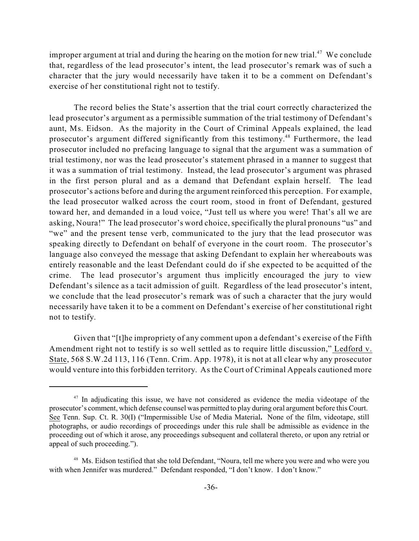improper argument at trial and during the hearing on the motion for new trial.<sup>47</sup> We conclude that, regardless of the lead prosecutor's intent, the lead prosecutor's remark was of such a character that the jury would necessarily have taken it to be a comment on Defendant's exercise of her constitutional right not to testify.

The record belies the State's assertion that the trial court correctly characterized the lead prosecutor's argument as a permissible summation of the trial testimony of Defendant's aunt, Ms. Eidson. As the majority in the Court of Criminal Appeals explained, the lead prosecutor's argument differed significantly from this testimony.<sup>48</sup> Furthermore, the lead prosecutor included no prefacing language to signal that the argument was a summation of trial testimony, nor was the lead prosecutor's statement phrased in a manner to suggest that it was a summation of trial testimony. Instead, the lead prosecutor's argument was phrased in the first person plural and as a demand that Defendant explain herself. The lead prosecutor's actions before and during the argument reinforced this perception. For example, the lead prosecutor walked across the court room, stood in front of Defendant, gestured toward her, and demanded in a loud voice, "Just tell us where you were! That's all we are asking, Noura!" The lead prosecutor's word choice, specifically the plural pronouns "us" and "we" and the present tense verb, communicated to the jury that the lead prosecutor was speaking directly to Defendant on behalf of everyone in the court room. The prosecutor's language also conveyed the message that asking Defendant to explain her whereabouts was entirely reasonable and the least Defendant could do if she expected to be acquitted of the crime. The lead prosecutor's argument thus implicitly encouraged the jury to view Defendant's silence as a tacit admission of guilt. Regardless of the lead prosecutor's intent, we conclude that the lead prosecutor's remark was of such a character that the jury would necessarily have taken it to be a comment on Defendant's exercise of her constitutional right not to testify.

Given that "[t]he impropriety of any comment upon a defendant's exercise of the Fifth Amendment right not to testify is so well settled as to require little discussion," Ledford v. State, 568 S.W.2d 113, 116 (Tenn. Crim. App. 1978), it is not at all clear why any prosecutor would venture into this forbidden territory. As the Court of Criminal Appeals cautioned more

 $17$  In adjudicating this issue, we have not considered as evidence the media videotape of the prosecutor's comment, which defense counsel was permitted to play during oral argument before this Court. See Tenn. Sup. Ct. R. 30(I) ("Impermissible Use of Media Material**.** None of the film, videotape, still photographs, or audio recordings of proceedings under this rule shall be admissible as evidence in the proceeding out of which it arose, any proceedings subsequent and collateral thereto, or upon any retrial or appeal of such proceeding.").

<sup>&</sup>lt;sup>48</sup> Ms. Eidson testified that she told Defendant, "Noura, tell me where you were and who were you with when Jennifer was murdered." Defendant responded, "I don't know. I don't know."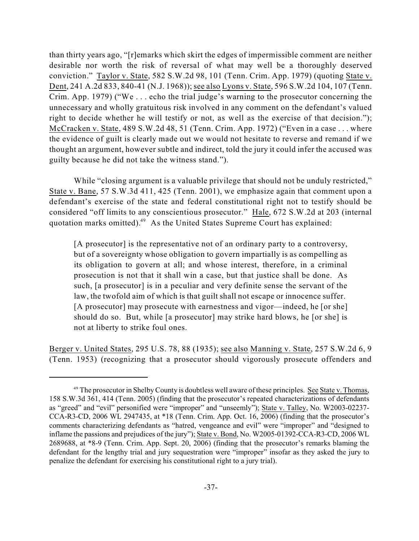than thirty years ago, "[r]emarks which skirt the edges of impermissible comment are neither desirable nor worth the risk of reversal of what may well be a thoroughly deserved conviction." Taylor v. State, 582 S.W.2d 98, 101 (Tenn. Crim. App. 1979) (quoting State v. Dent, 241 A.2d 833, 840-41 (N.J. 1968)); see also Lyons v. State, 596 S.W.2d 104, 107 (Tenn. Crim. App. 1979) ("We . . . echo the trial judge's warning to the prosecutor concerning the unnecessary and wholly gratuitous risk involved in any comment on the defendant's valued right to decide whether he will testify or not, as well as the exercise of that decision."); McCracken v. State, 489 S.W.2d 48, 51 (Tenn. Crim. App. 1972) ("Even in a case . . . where the evidence of guilt is clearly made out we would not hesitate to reverse and remand if we thought an argument, however subtle and indirect, told the jury it could infer the accused was guilty because he did not take the witness stand.").

While "closing argument is a valuable privilege that should not be unduly restricted," State v. Bane, 57 S.W.3d 411, 425 (Tenn. 2001), we emphasize again that comment upon a defendant's exercise of the state and federal constitutional right not to testify should be considered "off limits to any conscientious prosecutor." Hale, 672 S.W.2d at 203 (internal quotation marks omitted).<sup>49</sup> As the United States Supreme Court has explained:

[A prosecutor] is the representative not of an ordinary party to a controversy, but of a sovereignty whose obligation to govern impartially is as compelling as its obligation to govern at all; and whose interest, therefore, in a criminal prosecution is not that it shall win a case, but that justice shall be done. As such, [a prosecutor] is in a peculiar and very definite sense the servant of the law, the twofold aim of which is that guilt shall not escape or innocence suffer. [A prosecutor] may prosecute with earnestness and vigor—indeed, he [or she] should do so. But, while [a prosecutor] may strike hard blows, he [or she] is not at liberty to strike foul ones.

Berger v. United States, 295 U.S. 78, 88 (1935); see also Manning v. State, 257 S.W.2d 6, 9 (Tenn. 1953) (recognizing that a prosecutor should vigorously prosecute offenders and

<sup>&</sup>lt;sup>49</sup> The prosecutor in Shelby County is doubtless well aware of these principles. See State v. Thomas, 158 S.W.3d 361, 414 (Tenn. 2005) (finding that the prosecutor's repeated characterizations of defendants as "greed" and "evil" personified were "improper" and "unseemly"); State v. Talley, No. W2003-02237- CCA-R3-CD, 2006 WL 2947435, at \*18 (Tenn. Crim. App. Oct. 16, 2006) (finding that the prosecutor's comments characterizing defendants as "hatred, vengeance and evil" were "improper" and "designed to inflame the passions and prejudices of the jury"); State v. Bond, No. W2005-01392-CCA-R3-CD, 2006 WL 2689688, at \*8-9 (Tenn. Crim. App. Sept. 20, 2006) (finding that the prosecutor's remarks blaming the defendant for the lengthy trial and jury sequestration were "improper" insofar as they asked the jury to penalize the defendant for exercising his constitutional right to a jury trial).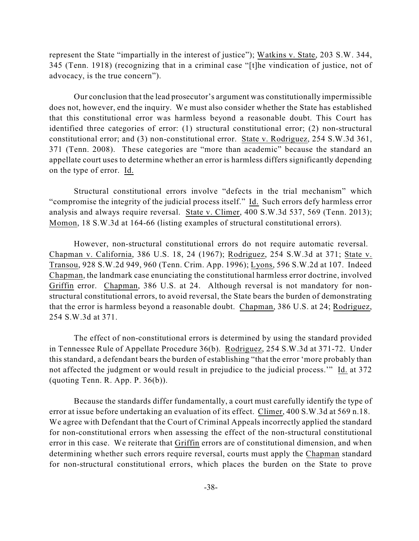represent the State "impartially in the interest of justice"); Watkins v. State, 203 S.W. 344, 345 (Tenn. 1918) (recognizing that in a criminal case "[t]he vindication of justice, not of advocacy, is the true concern").

Our conclusion that the lead prosecutor's argument was constitutionally impermissible does not, however, end the inquiry. We must also consider whether the State has established that this constitutional error was harmless beyond a reasonable doubt. This Court has identified three categories of error: (1) structural constitutional error; (2) non-structural constitutional error; and (3) non-constitutional error. State v. Rodriguez, 254 S.W.3d 361, 371 (Tenn. 2008). These categories are "more than academic" because the standard an appellate court uses to determine whether an error is harmless differs significantly depending on the type of error. Id.

Structural constitutional errors involve "defects in the trial mechanism" which "compromise the integrity of the judicial process itself." Id. Such errors defy harmless error analysis and always require reversal. State v. Climer, 400 S.W.3d 537, 569 (Tenn. 2013); Momon, 18 S.W.3d at 164-66 (listing examples of structural constitutional errors).

However, non-structural constitutional errors do not require automatic reversal. Chapman v. California, 386 U.S. 18, 24 (1967); Rodriguez, 254 S.W.3d at 371; State v. Transou, 928 S.W.2d 949, 960 (Tenn. Crim. App. 1996); Lyons, 596 S.W.2d at 107. Indeed Chapman, the landmark case enunciating the constitutional harmless error doctrine, involved Griffin error. Chapman, 386 U.S. at 24. Although reversal is not mandatory for nonstructural constitutional errors, to avoid reversal, the State bears the burden of demonstrating that the error is harmless beyond a reasonable doubt. Chapman, 386 U.S. at 24; Rodriguez, 254 S.W.3d at 371.

The effect of non-constitutional errors is determined by using the standard provided in Tennessee Rule of Appellate Procedure 36(b). Rodriguez, 254 S.W.3d at 371-72. Under this standard, a defendant bears the burden of establishing "that the error 'more probably than not affected the judgment or would result in prejudice to the judicial process.'" Id. at 372 (quoting Tenn. R. App. P. 36(b)).

Because the standards differ fundamentally, a court must carefully identify the type of error at issue before undertaking an evaluation of its effect. Climer, 400 S.W.3d at 569 n.18. We agree with Defendant that the Court of Criminal Appeals incorrectly applied the standard for non-constitutional errors when assessing the effect of the non-structural constitutional error in this case. We reiterate that Griffin errors are of constitutional dimension, and when determining whether such errors require reversal, courts must apply the Chapman standard for non-structural constitutional errors, which places the burden on the State to prove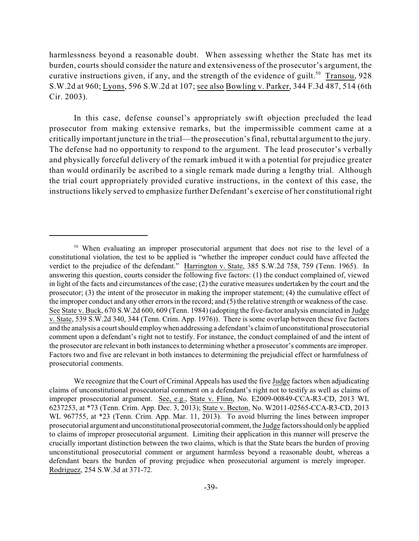harmlessness beyond a reasonable doubt. When assessing whether the State has met its burden, courts should consider the nature and extensiveness of the prosecutor's argument, the curative instructions given, if any, and the strength of the evidence of guilt.<sup>50</sup> Transou, 928 S.W.2d at 960; Lyons, 596 S.W.2d at 107; see also Bowling v. Parker, 344 F.3d 487, 514 (6th Cir. 2003).

In this case, defense counsel's appropriately swift objection precluded the lead prosecutor from making extensive remarks, but the impermissible comment came at a critically important juncture in the trial—the prosecution'sfinal, rebuttal argument to the jury. The defense had no opportunity to respond to the argument. The lead prosecutor's verbally and physically forceful delivery of the remark imbued it with a potential for prejudice greater than would ordinarily be ascribed to a single remark made during a lengthy trial. Although the trial court appropriately provided curative instructions, in the context of this case, the instructions likely served to emphasize further Defendant's exercise of her constitutional right

<sup>&</sup>lt;sup>50</sup> When evaluating an improper prosecutorial argument that does not rise to the level of a constitutional violation, the test to be applied is "whether the improper conduct could have affected the verdict to the prejudice of the defendant." Harrington v. State, 385 S.W.2d 758, 759 (Tenn. 1965). In answering this question, courts consider the following five factors: (1) the conduct complained of, viewed in light of the facts and circumstances of the case; (2) the curative measures undertaken by the court and the prosecutor; (3) the intent of the prosecutor in making the improper statement; (4) the cumulative effect of the improper conduct and any other errors in the record; and (5) the relative strength or weakness of the case. See State v. Buck, 670 S.W.2d 600, 609 (Tenn. 1984) (adopting the five-factor analysis enunciated in Judge v. State, 539 S.W.2d 340, 344 (Tenn. Crim. App. 1976)). There is some overlap between these five factors and the analysis a court should employ when addressing a defendant's claim of unconstitutional prosecutorial comment upon a defendant's right not to testify. For instance, the conduct complained of and the intent of the prosecutor are relevant in both instances to determining whether a prosecutor's comments are improper. Factors two and five are relevant in both instances to determining the prejudicial effect or harmfulness of prosecutorial comments.

We recognize that the Court of Criminal Appeals has used the five Judge factors when adjudicating claims of unconstitutional prosecutorial comment on a defendant's right not to testify as well as claims of improper prosecutorial argument. See, e.g., State v. Flinn, No. E2009-00849-CCA-R3-CD, 2013 WL 6237253, at \*73 (Tenn. Crim. App. Dec. 3, 2013); State v. Becton, No. W2011-02565-CCA-R3-CD, 2013 WL 967755, at \*23 (Tenn. Crim. App. Mar. 11, 2013). To avoid blurring the lines between improper prosecutorial argument and unconstitutional prosecutorial comment, the Judge factorsshould only be applied to claims of improper prosecutorial argument. Limiting their application in this manner will preserve the crucially important distinction between the two claims, which is that the State bears the burden of proving unconstitutional prosecutorial comment or argument harmless beyond a reasonable doubt, whereas a defendant bears the burden of proving prejudice when prosecutorial argument is merely improper. Rodriguez, 254 S.W.3d at 371-72.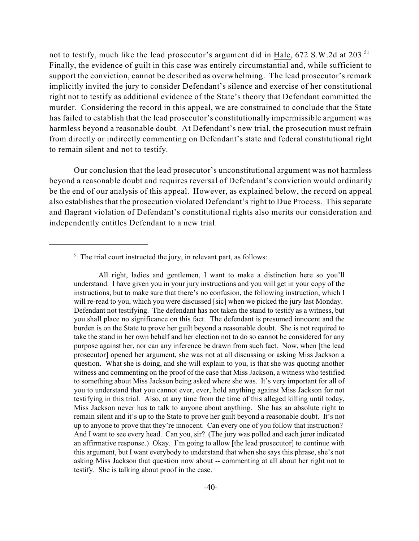not to testify, much like the lead prosecutor's argument did in Hale, 672 S.W.2d at 203.<sup>51</sup> Finally, the evidence of guilt in this case was entirely circumstantial and, while sufficient to support the conviction, cannot be described as overwhelming. The lead prosecutor's remark implicitly invited the jury to consider Defendant's silence and exercise of her constitutional right not to testify as additional evidence of the State's theory that Defendant committed the murder. Considering the record in this appeal, we are constrained to conclude that the State has failed to establish that the lead prosecutor's constitutionally impermissible argument was harmless beyond a reasonable doubt. At Defendant's new trial, the prosecution must refrain from directly or indirectly commenting on Defendant's state and federal constitutional right to remain silent and not to testify.

Our conclusion that the lead prosecutor's unconstitutional argument was not harmless beyond a reasonable doubt and requires reversal of Defendant's conviction would ordinarily be the end of our analysis of this appeal. However, as explained below, the record on appeal also establishes that the prosecution violated Defendant's right to Due Process. This separate and flagrant violation of Defendant's constitutional rights also merits our consideration and independently entitles Defendant to a new trial.

All right, ladies and gentlemen, I want to make a distinction here so you'll understand. I have given you in your jury instructions and you will get in your copy of the instructions, but to make sure that there's no confusion, the following instruction, which I will re-read to you, which you were discussed [sic] when we picked the jury last Monday. Defendant not testifying. The defendant has not taken the stand to testify as a witness, but you shall place no significance on this fact. The defendant is presumed innocent and the burden is on the State to prove her guilt beyond a reasonable doubt. She is not required to take the stand in her own behalf and her election not to do so cannot be considered for any purpose against her, nor can any inference be drawn from such fact. Now, when [the lead prosecutor] opened her argument, she was not at all discussing or asking Miss Jackson a question. What she is doing, and she will explain to you, is that she was quoting another witness and commenting on the proof of the case that Miss Jackson, a witness who testified to something about Miss Jackson being asked where she was. It's very important for all of you to understand that you cannot ever, ever, hold anything against Miss Jackson for not testifying in this trial. Also, at any time from the time of this alleged killing until today, Miss Jackson never has to talk to anyone about anything. She has an absolute right to remain silent and it's up to the State to prove her guilt beyond a reasonable doubt. It's not up to anyone to prove that they're innocent. Can every one of you follow that instruction? And I want to see every head. Can you, sir? (The jury was polled and each juror indicated an affirmative response.) Okay. I'm going to allow [the lead prosecutor] to continue with this argument, but I want everybody to understand that when she says this phrase, she's not asking Miss Jackson that question now about -- commenting at all about her right not to testify. She is talking about proof in the case.

 $<sup>51</sup>$  The trial court instructed the jury, in relevant part, as follows:</sup>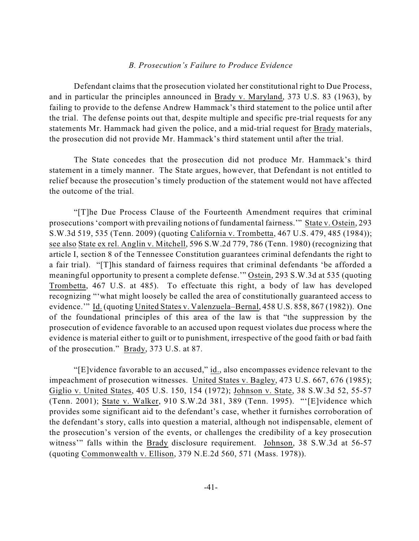### *B. Prosecution's Failure to Produce Evidence*

Defendant claims that the prosecution violated her constitutional right to Due Process, and in particular the principles announced in Brady v. Maryland, 373 U.S. 83 (1963), by failing to provide to the defense Andrew Hammack's third statement to the police until after the trial. The defense points out that, despite multiple and specific pre-trial requests for any statements Mr. Hammack had given the police, and a mid-trial request for Brady materials, the prosecution did not provide Mr. Hammack's third statement until after the trial.

The State concedes that the prosecution did not produce Mr. Hammack's third statement in a timely manner. The State argues, however, that Defendant is not entitled to relief because the prosecution's timely production of the statement would not have affected the outcome of the trial.

"[T]he Due Process Clause of the Fourteenth Amendment requires that criminal prosecutions 'comport with prevailing notions of fundamental fairness.'" State v. Ostein, 293 S.W.3d 519, 535 (Tenn. 2009) (quoting California v. Trombetta, 467 U.S. 479, 485 (1984)); see also State ex rel. Anglin v. Mitchell, 596 S.W.2d 779, 786 (Tenn. 1980) (recognizing that article I, section 8 of the Tennessee Constitution guarantees criminal defendants the right to a fair trial). "[T]his standard of fairness requires that criminal defendants 'be afforded a meaningful opportunity to present a complete defense.'" Ostein, 293 S.W.3d at 535 (quoting Trombetta, 467 U.S. at 485). To effectuate this right, a body of law has developed recognizing "'what might loosely be called the area of constitutionally guaranteed access to evidence.'" Id. (quoting United States v. Valenzuela–Bernal, 458 U.S. 858, 867 (1982)). One of the foundational principles of this area of the law is that "the suppression by the prosecution of evidence favorable to an accused upon request violates due process where the evidence is material either to guilt or to punishment, irrespective of the good faith or bad faith of the prosecution." Brady, 373 U.S. at 87.

"[E]vidence favorable to an accused," id., also encompasses evidence relevant to the impeachment of prosecution witnesses. United States v. Bagley, 473 U.S. 667, 676 (1985); Giglio v. United States, 405 U.S. 150, 154 (1972); Johnson v. State, 38 S.W.3d 52, 55-57 (Tenn. 2001); State v. Walker, 910 S.W.2d 381, 389 (Tenn. 1995). "'[E]vidence which provides some significant aid to the defendant's case, whether it furnishes corroboration of the defendant's story, calls into question a material, although not indispensable, element of the prosecution's version of the events, or challenges the credibility of a key prosecution witness'" falls within the Brady disclosure requirement. Johnson, 38 S.W.3d at 56-57 (quoting Commonwealth v. Ellison, 379 N.E.2d 560, 571 (Mass. 1978)).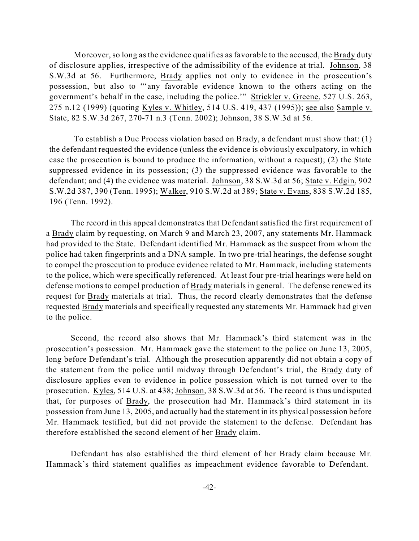Moreover, so long as the evidence qualifies as favorable to the accused, the Brady duty of disclosure applies, irrespective of the admissibility of the evidence at trial. Johnson, 38 S.W.3d at 56. Furthermore, Brady applies not only to evidence in the prosecution's possession, but also to "'any favorable evidence known to the others acting on the government's behalf in the case, including the police.'" Strickler v. Greene, 527 U.S. 263, 275 n.12 (1999) (quoting Kyles v. Whitley, 514 U.S. 419, 437 (1995)); see also Sample v. State, 82 S.W.3d 267, 270-71 n.3 (Tenn. 2002); Johnson, 38 S.W.3d at 56.

To establish a Due Process violation based on Brady, a defendant must show that: (1) the defendant requested the evidence (unless the evidence is obviously exculpatory, in which case the prosecution is bound to produce the information, without a request); (2) the State suppressed evidence in its possession; (3) the suppressed evidence was favorable to the defendant; and (4) the evidence was material. Johnson, 38 S.W.3d at 56; State v. Edgin, 902 S.W.2d 387, 390 (Tenn. 1995); Walker, 910 S.W.2d at 389; State v. Evans, 838 S.W.2d 185, 196 (Tenn. 1992).

The record in this appeal demonstrates that Defendant satisfied the first requirement of a Brady claim by requesting, on March 9 and March 23, 2007, any statements Mr. Hammack had provided to the State. Defendant identified Mr. Hammack as the suspect from whom the police had taken fingerprints and a DNA sample. In two pre-trial hearings, the defense sought to compel the prosecution to produce evidence related to Mr. Hammack, including statements to the police, which were specifically referenced. At least four pre-trial hearings were held on defense motions to compel production of Brady materials in general. The defense renewed its request for Brady materials at trial. Thus, the record clearly demonstrates that the defense requested Brady materials and specifically requested any statements Mr. Hammack had given to the police.

Second, the record also shows that Mr. Hammack's third statement was in the prosecution's possession. Mr. Hammack gave the statement to the police on June 13, 2005, long before Defendant's trial. Although the prosecution apparently did not obtain a copy of the statement from the police until midway through Defendant's trial, the Brady duty of disclosure applies even to evidence in police possession which is not turned over to the prosecution. Kyles, 514 U.S. at 438; Johnson, 38 S.W.3d at 56. The record is thus undisputed that, for purposes of Brady, the prosecution had Mr. Hammack's third statement in its possession from June 13, 2005, and actually had the statement in its physical possession before Mr. Hammack testified, but did not provide the statement to the defense. Defendant has therefore established the second element of her Brady claim.

Defendant has also established the third element of her Brady claim because Mr. Hammack's third statement qualifies as impeachment evidence favorable to Defendant.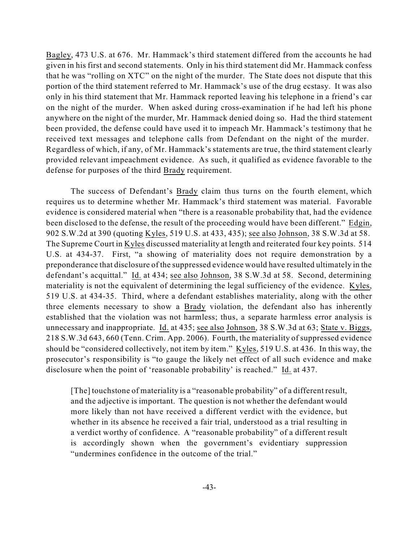Bagley, 473 U.S. at 676. Mr. Hammack's third statement differed from the accounts he had given in his first and second statements. Only in his third statement did Mr. Hammack confess that he was "rolling on XTC" on the night of the murder. The State does not dispute that this portion of the third statement referred to Mr. Hammack's use of the drug ecstasy. It was also only in his third statement that Mr. Hammack reported leaving his telephone in a friend's car on the night of the murder. When asked during cross-examination if he had left his phone anywhere on the night of the murder, Mr. Hammack denied doing so. Had the third statement been provided, the defense could have used it to impeach Mr. Hammack's testimony that he received text messages and telephone calls from Defendant on the night of the murder. Regardless of which, if any, of Mr. Hammack's statements are true, the third statement clearly provided relevant impeachment evidence. As such, it qualified as evidence favorable to the defense for purposes of the third Brady requirement.

The success of Defendant's Brady claim thus turns on the fourth element, which requires us to determine whether Mr. Hammack's third statement was material. Favorable evidence is considered material when "there is a reasonable probability that, had the evidence been disclosed to the defense, the result of the proceeding would have been different." Edgin, 902 S.W.2d at 390 (quoting Kyles, 519 U.S. at 433, 435); see also Johnson, 38 S.W.3d at 58. The Supreme Court in Kyles discussed materiality at length and reiterated four key points. 514 U.S. at 434-37. First, "a showing of materiality does not require demonstration by a preponderance that disclosure of the suppressed evidence would have resulted ultimately in the defendant's acquittal." Id. at 434; see also Johnson, 38 S.W.3d at 58. Second, determining materiality is not the equivalent of determining the legal sufficiency of the evidence. Kyles, 519 U.S. at 434-35. Third, where a defendant establishes materiality, along with the other three elements necessary to show a Brady violation, the defendant also has inherently established that the violation was not harmless; thus, a separate harmless error analysis is unnecessary and inappropriate. Id. at 435; see also Johnson, 38 S.W.3d at 63; State v. Biggs, 218 S.W.3d 643, 660 (Tenn. Crim. App. 2006). Fourth, the materiality of suppressed evidence should be "considered collectively, not item by item." Kyles, 519 U.S. at 436. In this way, the prosecutor's responsibility is "to gauge the likely net effect of all such evidence and make disclosure when the point of 'reasonable probability' is reached." Id. at 437.

[The] touchstone of materiality is a "reasonable probability" of a different result, and the adjective is important. The question is not whether the defendant would more likely than not have received a different verdict with the evidence, but whether in its absence he received a fair trial, understood as a trial resulting in a verdict worthy of confidence. A "reasonable probability" of a different result is accordingly shown when the government's evidentiary suppression "undermines confidence in the outcome of the trial."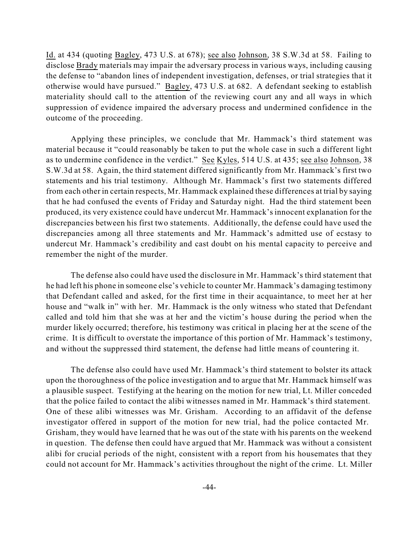Id. at 434 (quoting Bagley, 473 U.S. at 678); see also Johnson, 38 S.W.3d at 58. Failing to disclose Brady materials may impair the adversary process in various ways, including causing the defense to "abandon lines of independent investigation, defenses, or trial strategies that it otherwise would have pursued." Bagley, 473 U.S. at 682. A defendant seeking to establish materiality should call to the attention of the reviewing court any and all ways in which suppression of evidence impaired the adversary process and undermined confidence in the outcome of the proceeding.

Applying these principles, we conclude that Mr. Hammack's third statement was material because it "could reasonably be taken to put the whole case in such a different light as to undermine confidence in the verdict." See Kyles, 514 U.S. at 435; see also Johnson, 38 S.W.3d at 58. Again, the third statement differed significantly from Mr. Hammack's first two statements and his trial testimony. Although Mr. Hammack's first two statements differed from each other in certain respects, Mr. Hammack explained these differences at trial by saying that he had confused the events of Friday and Saturday night. Had the third statement been produced, its very existence could have undercut Mr. Hammack's innocent explanation for the discrepancies between his first two statements. Additionally, the defense could have used the discrepancies among all three statements and Mr. Hammack's admitted use of ecstasy to undercut Mr. Hammack's credibility and cast doubt on his mental capacity to perceive and remember the night of the murder.

The defense also could have used the disclosure in Mr. Hammack's third statement that he had left his phone in someone else's vehicle to counter Mr. Hammack's damaging testimony that Defendant called and asked, for the first time in their acquaintance, to meet her at her house and "walk in" with her. Mr. Hammack is the only witness who stated that Defendant called and told him that she was at her and the victim's house during the period when the murder likely occurred; therefore, his testimony was critical in placing her at the scene of the crime. It is difficult to overstate the importance of this portion of Mr. Hammack's testimony, and without the suppressed third statement, the defense had little means of countering it.

The defense also could have used Mr. Hammack's third statement to bolster its attack upon the thoroughness of the police investigation and to argue that Mr. Hammack himself was a plausible suspect. Testifying at the hearing on the motion for new trial, Lt. Miller conceded that the police failed to contact the alibi witnesses named in Mr. Hammack's third statement. One of these alibi witnesses was Mr. Grisham. According to an affidavit of the defense investigator offered in support of the motion for new trial, had the police contacted Mr. Grisham, they would have learned that he was out of the state with his parents on the weekend in question. The defense then could have argued that Mr. Hammack was without a consistent alibi for crucial periods of the night, consistent with a report from his housemates that they could not account for Mr. Hammack's activities throughout the night of the crime. Lt. Miller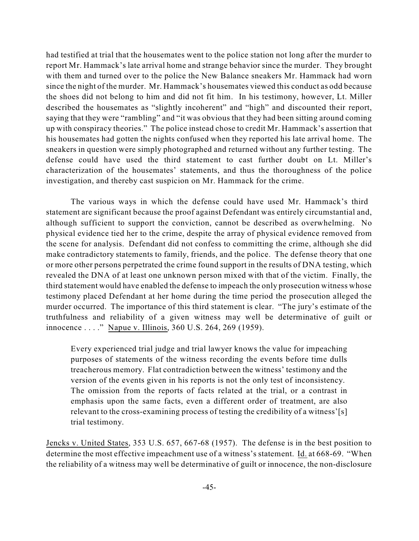had testified at trial that the housemates went to the police station not long after the murder to report Mr. Hammack's late arrival home and strange behavior since the murder. They brought with them and turned over to the police the New Balance sneakers Mr. Hammack had worn since the night of the murder. Mr. Hammack's housemates viewed this conduct as odd because the shoes did not belong to him and did not fit him. In his testimony, however, Lt. Miller described the housemates as "slightly incoherent" and "high" and discounted their report, saying that they were "rambling" and "it was obvious that they had been sitting around coming up with conspiracy theories." The police instead chose to credit Mr. Hammack's assertion that his housemates had gotten the nights confused when they reported his late arrival home. The sneakers in question were simply photographed and returned without any further testing. The defense could have used the third statement to cast further doubt on Lt. Miller's characterization of the housemates' statements, and thus the thoroughness of the police investigation, and thereby cast suspicion on Mr. Hammack for the crime.

The various ways in which the defense could have used Mr. Hammack's third statement are significant because the proof against Defendant was entirely circumstantial and, although sufficient to support the conviction, cannot be described as overwhelming. No physical evidence tied her to the crime, despite the array of physical evidence removed from the scene for analysis. Defendant did not confess to committing the crime, although she did make contradictory statements to family, friends, and the police. The defense theory that one or more other persons perpetrated the crime found support in the results of DNA testing, which revealed the DNA of at least one unknown person mixed with that of the victim. Finally, the third statement would have enabled the defense to impeach the only prosecution witness whose testimony placed Defendant at her home during the time period the prosecution alleged the murder occurred. The importance of this third statement is clear. "The jury's estimate of the truthfulness and reliability of a given witness may well be determinative of guilt or innocence . . . ." Napue v. Illinois, 360 U.S. 264, 269 (1959).

Every experienced trial judge and trial lawyer knows the value for impeaching purposes of statements of the witness recording the events before time dulls treacherous memory. Flat contradiction between the witness' testimony and the version of the events given in his reports is not the only test of inconsistency. The omission from the reports of facts related at the trial, or a contrast in emphasis upon the same facts, even a different order of treatment, are also relevant to the cross-examining process of testing the credibility of a witness'[s] trial testimony.

Jencks v. United States, 353 U.S. 657, 667-68 (1957). The defense is in the best position to determine the most effective impeachment use of a witness's statement. Id. at 668-69. "When the reliability of a witness may well be determinative of guilt or innocence, the non-disclosure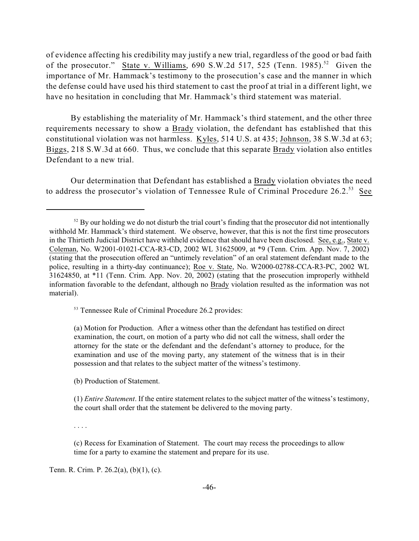of evidence affecting his credibility may justify a new trial, regardless of the good or bad faith of the prosecutor." State v. Williams, 690 S.W.2d 517, 525 (Tenn. 1985).<sup>52</sup> Given the importance of Mr. Hammack's testimony to the prosecution's case and the manner in which the defense could have used his third statement to cast the proof at trial in a different light, we have no hesitation in concluding that Mr. Hammack's third statement was material.

By establishing the materiality of Mr. Hammack's third statement, and the other three requirements necessary to show a Brady violation, the defendant has established that this constitutional violation was not harmless. Kyles, 514 U.S. at 435; Johnson, 38 S.W.3d at 63; Biggs, 218 S.W.3d at 660. Thus, we conclude that this separate Brady violation also entitles Defendant to a new trial.

Our determination that Defendant has established a Brady violation obviates the need to address the prosecutor's violation of Tennessee Rule of Criminal Procedure 26.2.<sup>53</sup> See

<sup>53</sup> Tennessee Rule of Criminal Procedure 26.2 provides:

(a) Motion for Production. After a witness other than the defendant has testified on direct examination, the court, on motion of a party who did not call the witness, shall order the attorney for the state or the defendant and the defendant's attorney to produce, for the examination and use of the moving party, any statement of the witness that is in their possession and that relates to the subject matter of the witness's testimony.

(b) Production of Statement.

(1) *Entire Statement*. If the entire statement relates to the subject matter of the witness's testimony, the court shall order that the statement be delivered to the moving party.

. . . .

(c) Recess for Examination of Statement. The court may recess the proceedings to allow time for a party to examine the statement and prepare for its use.

Tenn. R. Crim. P. 26.2(a), (b)(1), (c).

 $52$  By our holding we do not disturb the trial court's finding that the prosecutor did not intentionally withhold Mr. Hammack's third statement. We observe, however, that this is not the first time prosecutors in the Thirtieth Judicial District have withheld evidence that should have been disclosed. See, e.g., State v. Coleman, No. W2001-01021-CCA-R3-CD, 2002 WL 31625009, at \*9 (Tenn. Crim. App. Nov. 7, 2002) (stating that the prosecution offered an "untimely revelation" of an oral statement defendant made to the police, resulting in a thirty-day continuance); Roe v. State, No. W2000-02788-CCA-R3-PC, 2002 WL 31624850, at \*11 (Tenn. Crim. App. Nov. 20, 2002) (stating that the prosecution improperly withheld information favorable to the defendant, although no Brady violation resulted as the information was not material).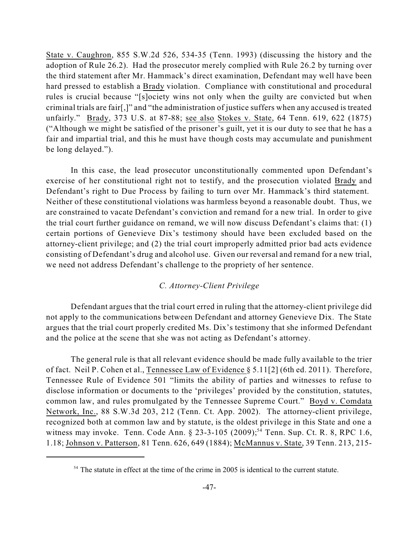State v. Caughron, 855 S.W.2d 526, 534-35 (Tenn. 1993) (discussing the history and the adoption of Rule 26.2). Had the prosecutor merely complied with Rule 26.2 by turning over the third statement after Mr. Hammack's direct examination, Defendant may well have been hard pressed to establish a Brady violation. Compliance with constitutional and procedural rules is crucial because "[s]ociety wins not only when the guilty are convicted but when criminal trials are fair[,]" and "the administration of justice suffers when any accused is treated unfairly." Brady, 373 U.S. at 87-88; see also Stokes v. State, 64 Tenn. 619, 622 (1875) ("Although we might be satisfied of the prisoner's guilt, yet it is our duty to see that he has a fair and impartial trial, and this he must have though costs may accumulate and punishment be long delayed.").

In this case, the lead prosecutor unconstitutionally commented upon Defendant's exercise of her constitutional right not to testify, and the prosecution violated Brady and Defendant's right to Due Process by failing to turn over Mr. Hammack's third statement. Neither of these constitutional violations was harmless beyond a reasonable doubt. Thus, we are constrained to vacate Defendant's conviction and remand for a new trial. In order to give the trial court further guidance on remand, we will now discuss Defendant's claims that: (1) certain portions of Genevieve Dix's testimony should have been excluded based on the attorney-client privilege; and (2) the trial court improperly admitted prior bad acts evidence consisting of Defendant's drug and alcohol use. Given our reversal and remand for a new trial, we need not address Defendant's challenge to the propriety of her sentence.

### *C. Attorney-Client Privilege*

Defendant argues that the trial court erred in ruling that the attorney-client privilege did not apply to the communications between Defendant and attorney Genevieve Dix. The State argues that the trial court properly credited Ms. Dix's testimony that she informed Defendant and the police at the scene that she was not acting as Defendant's attorney.

The general rule is that all relevant evidence should be made fully available to the trier of fact. Neil P. Cohen et al., Tennessee Law of Evidence § 5.11[2] (6th ed. 2011). Therefore, Tennessee Rule of Evidence 501 "limits the ability of parties and witnesses to refuse to disclose information or documents to the 'privileges' provided by the constitution, statutes, common law, and rules promulgated by the Tennessee Supreme Court." Boyd v. Comdata Network, Inc., 88 S.W.3d 203, 212 (Tenn. Ct. App. 2002). The attorney-client privilege, recognized both at common law and by statute, is the oldest privilege in this State and one a witness may invoke. Tenn. Code Ann. § 23-3-105 (2009);<sup>54</sup> Tenn. Sup. Ct. R. 8, RPC 1.6, 1.18; Johnson v. Patterson, 81 Tenn. 626, 649 (1884); McMannus v. State, 39 Tenn. 213, 215-

 $54$  The statute in effect at the time of the crime in 2005 is identical to the current statute.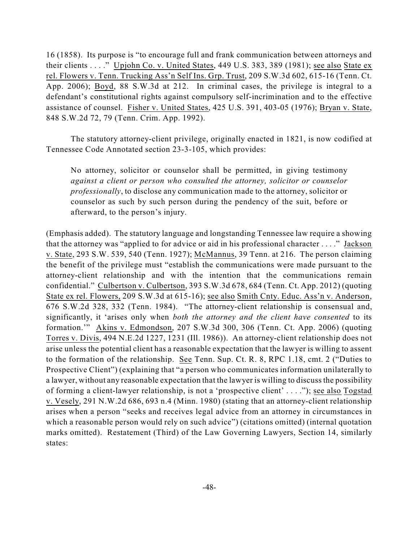16 (1858). Its purpose is "to encourage full and frank communication between attorneys and their clients . . . ." Upjohn Co. v. United States, 449 U.S. 383, 389 (1981); see also State ex rel. Flowers v. Tenn. Trucking Ass'n Self Ins. Grp. Trust, 209 S.W.3d 602, 615-16 (Tenn. Ct. App. 2006); Boyd, 88 S.W.3d at 212. In criminal cases, the privilege is integral to a defendant's constitutional rights against compulsory self-incrimination and to the effective assistance of counsel. Fisher v. United States, 425 U.S. 391, 403-05 (1976); Bryan v. State, 848 S.W.2d 72, 79 (Tenn. Crim. App. 1992).

The statutory attorney-client privilege, originally enacted in 1821, is now codified at Tennessee Code Annotated section 23-3-105, which provides:

No attorney, solicitor or counselor shall be permitted, in giving testimony *against a client or person who consulted the attorney, solicitor or counselor professionally*, to disclose any communication made to the attorney, solicitor or counselor as such by such person during the pendency of the suit, before or afterward, to the person's injury.

(Emphasis added). The statutory language and longstanding Tennessee law require a showing that the attorney was "applied to for advice or aid in his professional character . . . ." Jackson v. State, 293 S.W. 539, 540 (Tenn. 1927); McMannus, 39 Tenn. at 216. The person claiming the benefit of the privilege must "establish the communications were made pursuant to the attorney-client relationship and with the intention that the communications remain confidential." Culbertson v. Culbertson, 393 S.W.3d 678, 684 (Tenn. Ct. App. 2012) (quoting State ex rel. Flowers, 209 S.W.3d at 615-16); see also Smith Cnty. Educ. Ass'n v. Anderson, 676 S.W.2d 328, 332 (Tenn. 1984). "The attorney-client relationship is consensual and, significantly, it 'arises only when *both the attorney and the client have consented* to its formation.'" Akins v. Edmondson, 207 S.W.3d 300, 306 (Tenn. Ct. App. 2006) (quoting Torres v. Divis, 494 N.E.2d 1227, 1231 (Ill. 1986)). An attorney-client relationship does not arise unless the potential client has a reasonable expectation that the lawyer is willing to assent to the formation of the relationship. See Tenn. Sup. Ct. R. 8, RPC 1.18, cmt. 2 ("Duties to Prospective Client") (explaining that "a person who communicates information unilaterally to a lawyer, without any reasonable expectation that the lawyer is willing to discuss the possibility of forming a client-lawyer relationship, is not a 'prospective client' . . . ."); see also Togstad v. Vesely, 291 N.W.2d 686, 693 n.4 (Minn. 1980) (stating that an attorney-client relationship arises when a person "seeks and receives legal advice from an attorney in circumstances in which a reasonable person would rely on such advice") (citations omitted) (internal quotation marks omitted). Restatement (Third) of the Law Governing Lawyers, Section 14, similarly states: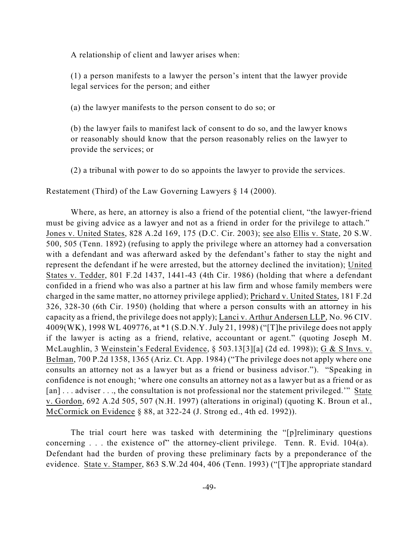A relationship of client and lawyer arises when:

(1) a person manifests to a lawyer the person's intent that the lawyer provide legal services for the person; and either

(a) the lawyer manifests to the person consent to do so; or

(b) the lawyer fails to manifest lack of consent to do so, and the lawyer knows or reasonably should know that the person reasonably relies on the lawyer to provide the services; or

(2) a tribunal with power to do so appoints the lawyer to provide the services.

Restatement (Third) of the Law Governing Lawyers § 14 (2000).

Where, as here, an attorney is also a friend of the potential client, "the lawyer-friend must be giving advice as a lawyer and not as a friend in order for the privilege to attach." Jones v. United States, 828 A.2d 169, 175 (D.C. Cir. 2003); see also Ellis v. State, 20 S.W. 500, 505 (Tenn. 1892) (refusing to apply the privilege where an attorney had a conversation with a defendant and was afterward asked by the defendant's father to stay the night and represent the defendant if he were arrested, but the attorney declined the invitation); United States v. Tedder, 801 F.2d 1437, 1441-43 (4th Cir. 1986) (holding that where a defendant confided in a friend who was also a partner at his law firm and whose family members were charged in the same matter, no attorney privilege applied); Prichard v. United States, 181 F.2d 326, 328-30 (6th Cir. 1950) (holding that where a person consults with an attorney in his capacity as a friend, the privilege does not apply); Lanci v. Arthur Andersen LLP, No. 96 CIV. 4009(WK), 1998 WL 409776, at \*1 (S.D.N.Y. July 21, 1998) ("[T]he privilege does not apply if the lawyer is acting as a friend, relative, accountant or agent." (quoting Joseph M. McLaughlin, 3 Weinstein's Federal Evidence, § 503.13[3][a] (2d ed. 1998)); G & S Invs. v. Belman, 700 P.2d 1358, 1365 (Ariz. Ct. App. 1984) ("The privilege does not apply where one consults an attorney not as a lawyer but as a friend or business advisor."). "Speaking in confidence is not enough; 'where one consults an attorney not as a lawyer but as a friend or as [an] ... adviser ..., the consultation is not professional nor the statement privileged." State v. Gordon, 692 A.2d 505, 507 (N.H. 1997) (alterations in original) (quoting K. Broun et al., McCormick on Evidence § 88, at 322-24 (J. Strong ed., 4th ed. 1992)).

The trial court here was tasked with determining the "[p]reliminary questions concerning . . . the existence of" the attorney-client privilege. Tenn. R. Evid. 104(a). Defendant had the burden of proving these preliminary facts by a preponderance of the evidence. State v. Stamper, 863 S.W.2d 404, 406 (Tenn. 1993) ("[T]he appropriate standard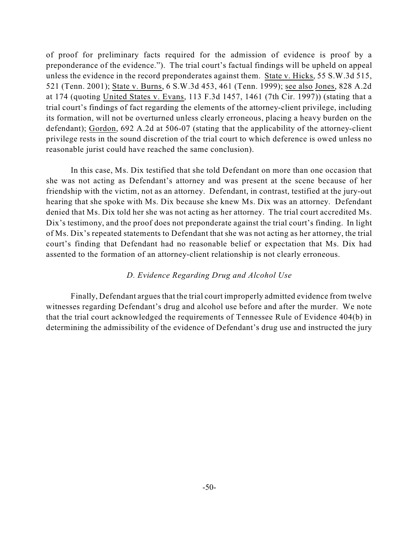of proof for preliminary facts required for the admission of evidence is proof by a preponderance of the evidence."). The trial court's factual findings will be upheld on appeal unless the evidence in the record preponderates against them. State v. Hicks, 55 S.W.3d 515, 521 (Tenn. 2001); State v. Burns, 6 S.W.3d 453, 461 (Tenn. 1999); see also Jones, 828 A.2d at 174 (quoting United States v. Evans, 113 F.3d 1457, 1461 (7th Cir. 1997)) (stating that a trial court's findings of fact regarding the elements of the attorney-client privilege, including its formation, will not be overturned unless clearly erroneous, placing a heavy burden on the defendant); Gordon, 692 A.2d at 506-07 (stating that the applicability of the attorney-client privilege rests in the sound discretion of the trial court to which deference is owed unless no reasonable jurist could have reached the same conclusion).

In this case, Ms. Dix testified that she told Defendant on more than one occasion that she was not acting as Defendant's attorney and was present at the scene because of her friendship with the victim, not as an attorney. Defendant, in contrast, testified at the jury-out hearing that she spoke with Ms. Dix because she knew Ms. Dix was an attorney. Defendant denied that Ms. Dix told her she was not acting as her attorney. The trial court accredited Ms. Dix's testimony, and the proof does not preponderate against the trial court's finding. In light of Ms. Dix's repeated statements to Defendant that she was not acting as her attorney, the trial court's finding that Defendant had no reasonable belief or expectation that Ms. Dix had assented to the formation of an attorney-client relationship is not clearly erroneous.

### *D. Evidence Regarding Drug and Alcohol Use*

Finally, Defendant argues that the trial court improperly admitted evidence from twelve witnesses regarding Defendant's drug and alcohol use before and after the murder. We note that the trial court acknowledged the requirements of Tennessee Rule of Evidence 404(b) in determining the admissibility of the evidence of Defendant's drug use and instructed the jury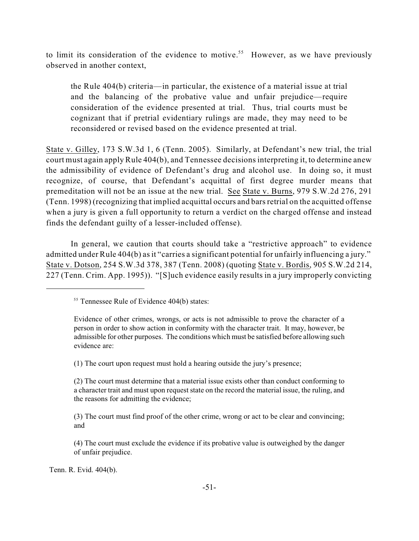to limit its consideration of the evidence to motive.<sup>55</sup> However, as we have previously observed in another context,

the Rule 404(b) criteria—in particular, the existence of a material issue at trial and the balancing of the probative value and unfair prejudice—require consideration of the evidence presented at trial. Thus, trial courts must be cognizant that if pretrial evidentiary rulings are made, they may need to be reconsidered or revised based on the evidence presented at trial.

State v. Gilley, 173 S.W.3d 1, 6 (Tenn. 2005). Similarly, at Defendant's new trial, the trial court must again apply Rule 404(b), and Tennessee decisions interpreting it, to determine anew the admissibility of evidence of Defendant's drug and alcohol use. In doing so, it must recognize, of course, that Defendant's acquittal of first degree murder means that premeditation will not be an issue at the new trial. See State v. Burns, 979 S.W.2d 276, 291 (Tenn. 1998) (recognizing that implied acquittal occurs and barsretrial on the acquitted offense when a jury is given a full opportunity to return a verdict on the charged offense and instead finds the defendant guilty of a lesser-included offense).

In general, we caution that courts should take a "restrictive approach" to evidence admitted under Rule 404(b) as it "carries a significant potential for unfairly influencing a jury." State v. Dotson, 254 S.W.3d 378, 387 (Tenn. 2008) (quoting State v. Bordis, 905 S.W.2d 214, 227 (Tenn. Crim. App. 1995)). "[S]uch evidence easily results in a jury improperly convicting

(1) The court upon request must hold a hearing outside the jury's presence;

Tenn. R. Evid. 404(b).

 $55$  Tennessee Rule of Evidence 404(b) states:

Evidence of other crimes, wrongs, or acts is not admissible to prove the character of a person in order to show action in conformity with the character trait. It may, however, be admissible for other purposes. The conditions which must be satisfied before allowing such evidence are:

<sup>(2)</sup> The court must determine that a material issue exists other than conduct conforming to a character trait and must upon request state on the record the material issue, the ruling, and the reasons for admitting the evidence;

<sup>(3)</sup> The court must find proof of the other crime, wrong or act to be clear and convincing; and

<sup>(4)</sup> The court must exclude the evidence if its probative value is outweighed by the danger of unfair prejudice.